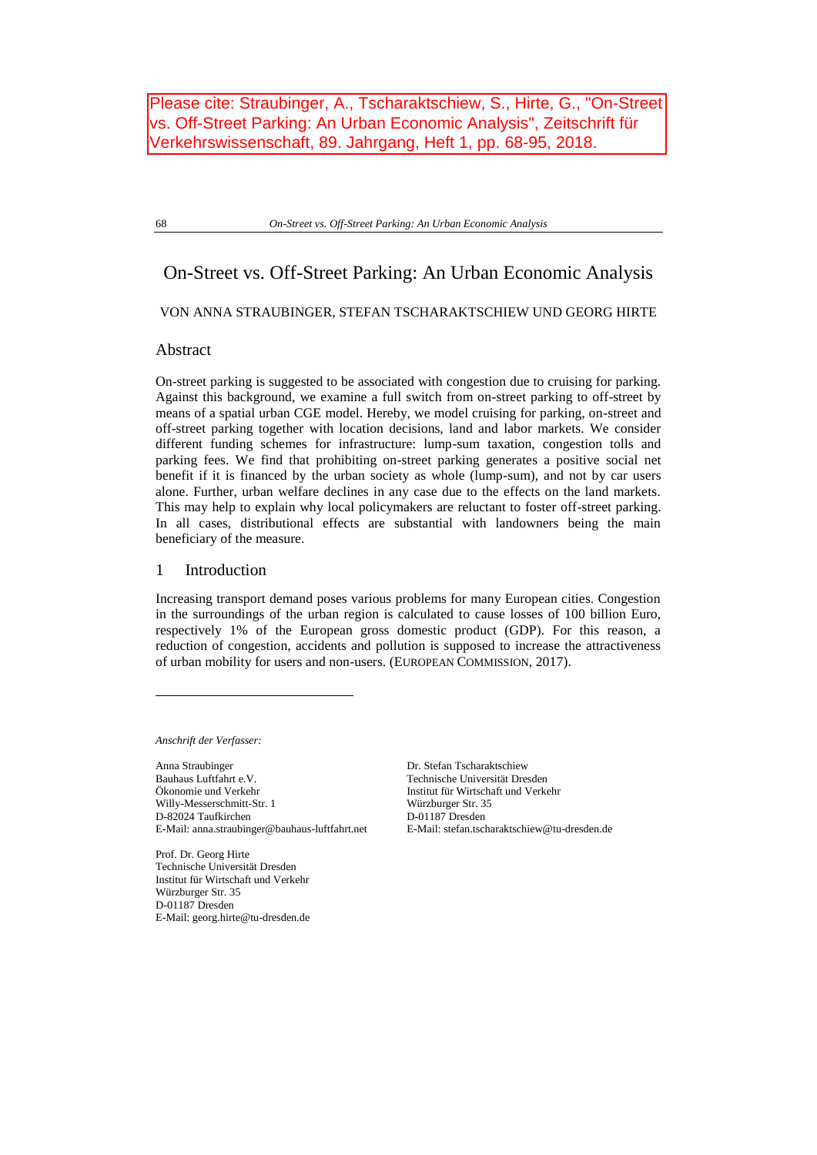Please cite: Straubinger, A., Tscharaktschiew, S., Hirte, G., "On-Street vs. Off-Street Parking: An Urban Economic Analysis", Zeitschrift für Verkehrswissenschaft, 89. Jahrgang, Heft 1, pp. 68-95, 2018.

68 *On-Street vs. Off-Street Parking: An Urban Economic Analysis*

# On-Street vs. Off-Street Parking: An Urban Economic Analysis

## VON ANNA STRAUBINGER, STEFAN TSCHARAKTSCHIEW UND GEORG HIRTE

## Abstract

On-street parking is suggested to be associated with congestion due to cruising for parking. Against this background, we examine a full switch from on-street parking to off-street by means of a spatial urban CGE model. Hereby, we model cruising for parking, on-street and off-street parking together with location decisions, land and labor markets. We consider different funding schemes for infrastructure: lump-sum taxation, congestion tolls and parking fees. We find that prohibiting on-street parking generates a positive social net benefit if it is financed by the urban society as whole (lump-sum), and not by car users alone. Further, urban welfare declines in any case due to the effects on the land markets. This may help to explain why local policymakers are reluctant to foster off-street parking. In all cases, distributional effects are substantial with landowners being the main beneficiary of the measure.

## 1 Introduction

Increasing transport demand poses various problems for many European cities. Congestion in the surroundings of the urban region is calculated to cause losses of 100 billion Euro, respectively 1% of the European gross domestic product (GDP). For this reason, a reduction of congestion, accidents and pollution is supposed to increase the attractiveness of urban mobility for users and non-users. (EUROPEAN COMMISSION, 2017).

*Anschrift der Verfasser:*

 $\overline{a}$ 

Anna Straubinger Dr. Stefan Tscharaktschiew Bauhaus Luftfahrt e.V. Technische Universität Dresden Ökonomie und Verkehr Institut für Wirtschaft und Verkehr Willy-Messerschmitt-Str. 1 D-82024 Taufkirchen E-Mail: anna.straubinger@bauhaus-luftfahrt.net

Prof. Dr. Georg Hirte Technische Universität Dresden Institut für Wirtschaft und Verkehr Würzburger Str. 35 D-01187 Dresden E-Mail: georg.hirte@tu-dresden.de Würzburger Str. 35 D-01187 Dresden E-Mail: stefan.tscharaktschiew@tu-dresden.de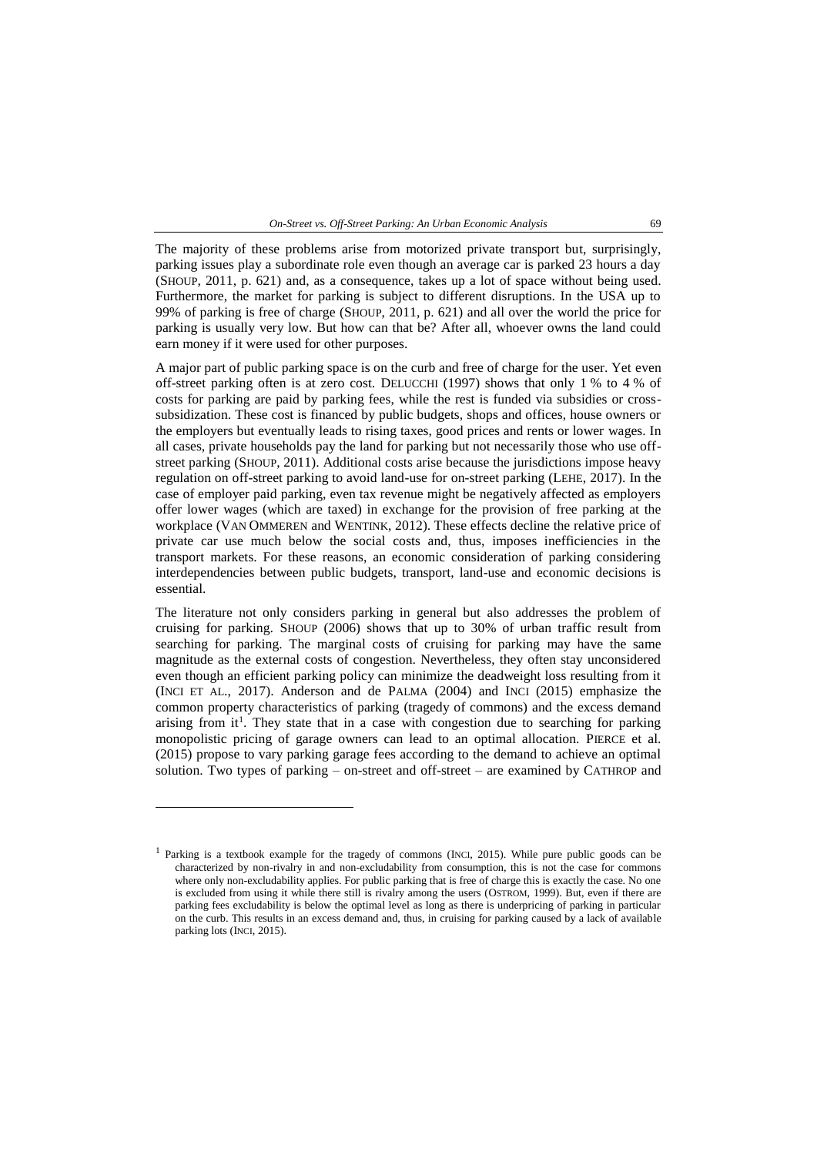The majority of these problems arise from motorized private transport but, surprisingly, parking issues play a subordinate role even though an average car is parked 23 hours a day (SHOUP, 2011, p. 621) and, as a consequence, takes up a lot of space without being used. Furthermore, the market for parking is subject to different disruptions. In the USA up to 99% of parking is free of charge (SHOUP, 2011, p. 621) and all over the world the price for parking is usually very low. But how can that be? After all, whoever owns the land could earn money if it were used for other purposes.

A major part of public parking space is on the curb and free of charge for the user. Yet even off-street parking often is at zero cost. DELUCCHI (1997) shows that only 1 % to 4 % of costs for parking are paid by parking fees, while the rest is funded via subsidies or crosssubsidization. These cost is financed by public budgets, shops and offices, house owners or the employers but eventually leads to rising taxes, good prices and rents or lower wages. In all cases, private households pay the land for parking but not necessarily those who use offstreet parking (SHOUP, 2011). Additional costs arise because the jurisdictions impose heavy regulation on off-street parking to avoid land-use for on-street parking (LEHE, 2017). In the case of employer paid parking, even tax revenue might be negatively affected as employers offer lower wages (which are taxed) in exchange for the provision of free parking at the workplace (VAN OMMEREN and WENTINK, 2012). These effects decline the relative price of private car use much below the social costs and, thus, imposes inefficiencies in the transport markets. For these reasons, an economic consideration of parking considering interdependencies between public budgets, transport, land-use and economic decisions is essential.

The literature not only considers parking in general but also addresses the problem of cruising for parking. SHOUP (2006) shows that up to 30% of urban traffic result from searching for parking. The marginal costs of cruising for parking may have the same magnitude as the external costs of congestion. Nevertheless, they often stay unconsidered even though an efficient parking policy can minimize the deadweight loss resulting from it (INCI ET AL., 2017). Anderson and de PALMA (2004) and INCI (2015) emphasize the common property characteristics of parking (tragedy of commons) and the excess demand arising from it<sup>1</sup>. They state that in a case with congestion due to searching for parking monopolistic pricing of garage owners can lead to an optimal allocation. PIERCE et al. (2015) propose to vary parking garage fees according to the demand to achieve an optimal solution. Two types of parking – on-street and off-street – are examined by CATHROP and

 $\overline{a}$ 

<sup>&</sup>lt;sup>1</sup> Parking is a textbook example for the tragedy of commons (INCI, 2015). While pure public goods can be characterized by non-rivalry in and non-excludability from consumption, this is not the case for commons where only non-excludability applies. For public parking that is free of charge this is exactly the case. No one is excluded from using it while there still is rivalry among the users (OSTROM, 1999). But, even if there are parking fees excludability is below the optimal level as long as there is underpricing of parking in particular on the curb. This results in an excess demand and, thus, in cruising for parking caused by a lack of available parking lots (INCI, 2015).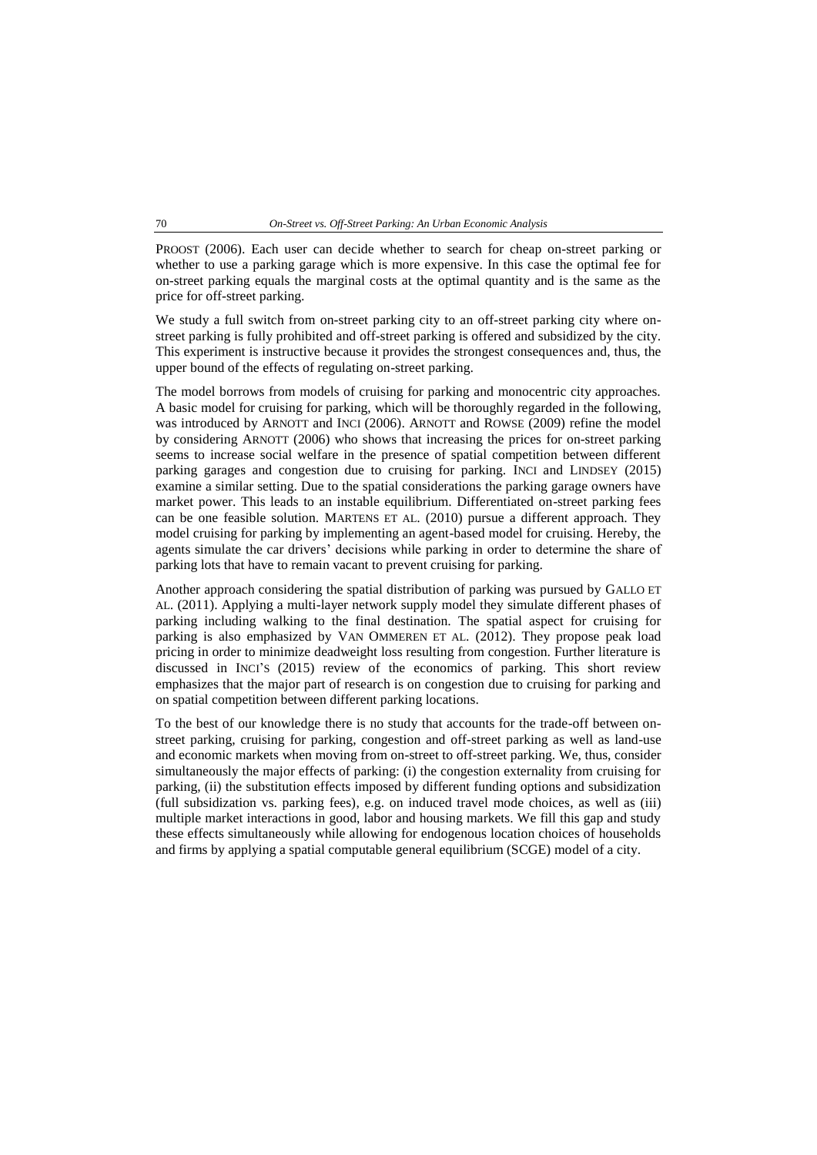PROOST (2006). Each user can decide whether to search for cheap on-street parking or whether to use a parking garage which is more expensive. In this case the optimal fee for on-street parking equals the marginal costs at the optimal quantity and is the same as the price for off-street parking.

We study a full switch from on-street parking city to an off-street parking city where onstreet parking is fully prohibited and off-street parking is offered and subsidized by the city. This experiment is instructive because it provides the strongest consequences and, thus, the upper bound of the effects of regulating on-street parking.

The model borrows from models of cruising for parking and monocentric city approaches. A basic model for cruising for parking, which will be thoroughly regarded in the following, was introduced by ARNOTT and INCI (2006). ARNOTT and ROWSE (2009) refine the model by considering ARNOTT (2006) who shows that increasing the prices for on-street parking seems to increase social welfare in the presence of spatial competition between different parking garages and congestion due to cruising for parking. INCI and LINDSEY (2015) examine a similar setting. Due to the spatial considerations the parking garage owners have market power. This leads to an instable equilibrium. Differentiated on-street parking fees can be one feasible solution. MARTENS ET AL. (2010) pursue a different approach. They model cruising for parking by implementing an agent-based model for cruising. Hereby, the agents simulate the car drivers' decisions while parking in order to determine the share of parking lots that have to remain vacant to prevent cruising for parking.

Another approach considering the spatial distribution of parking was pursued by GALLO ET AL. (2011). Applying a multi-layer network supply model they simulate different phases of parking including walking to the final destination. The spatial aspect for cruising for parking is also emphasized by VAN OMMEREN ET AL. (2012). They propose peak load pricing in order to minimize deadweight loss resulting from congestion. Further literature is discussed in INCI'S (2015) review of the economics of parking. This short review emphasizes that the major part of research is on congestion due to cruising for parking and on spatial competition between different parking locations.

To the best of our knowledge there is no study that accounts for the trade-off between onstreet parking, cruising for parking, congestion and off-street parking as well as land-use and economic markets when moving from on-street to off-street parking. We, thus, consider simultaneously the major effects of parking: (i) the congestion externality from cruising for parking, (ii) the substitution effects imposed by different funding options and subsidization (full subsidization vs. parking fees), e.g. on induced travel mode choices, as well as (iii) multiple market interactions in good, labor and housing markets. We fill this gap and study these effects simultaneously while allowing for endogenous location choices of households and firms by applying a spatial computable general equilibrium (SCGE) model of a city.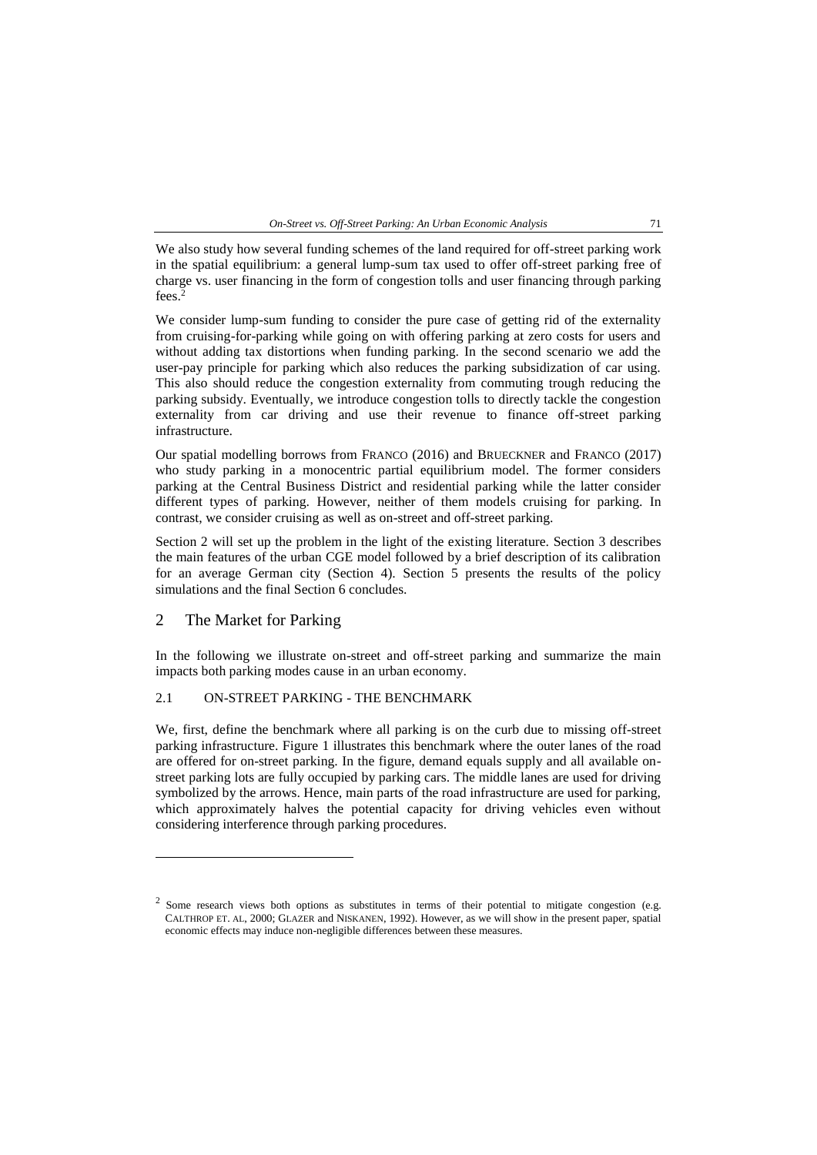*On-Street vs. Off-Street Parking: An Urban Economic Analysis* 71

We also study how several funding schemes of the land required for off-street parking work in the spatial equilibrium: a general lump-sum tax used to offer off-street parking free of charge vs. user financing in the form of congestion tolls and user financing through parking fees.<sup>2</sup>

We consider lump-sum funding to consider the pure case of getting rid of the externality from cruising-for-parking while going on with offering parking at zero costs for users and without adding tax distortions when funding parking. In the second scenario we add the user-pay principle for parking which also reduces the parking subsidization of car using. This also should reduce the congestion externality from commuting trough reducing the parking subsidy. Eventually, we introduce congestion tolls to directly tackle the congestion externality from car driving and use their revenue to finance off-street parking infrastructure.

Our spatial modelling borrows from FRANCO (2016) and BRUECKNER and FRANCO (2017) who study parking in a monocentric partial equilibrium model. The former considers parking at the Central Business District and residential parking while the latter consider different types of parking. However, neither of them models cruising for parking. In contrast, we consider cruising as well as on-street and off-street parking.

Section [2](#page-3-0) will set up the problem in the light of the existing literature. Section [3](#page-6-0) describes the main features of the urban CGE model followed by a brief description of its calibration for an average German city (Section 4). Section 5 presents the results of the policy simulations and the final Section 6 concludes.

## <span id="page-3-0"></span>2 The Market for Parking

 $\overline{a}$ 

In the following we illustrate on-street and off-street parking and summarize the main impacts both parking modes cause in an urban economy.

## 2.1 ON-STREET PARKING - THE BENCHMARK

We, first, define the benchmark where all parking is on the curb due to missing off-street parking infrastructure. [Figure 1](#page-4-0) illustrates this benchmark where the outer lanes of the road are offered for on-street parking. In the figure, demand equals supply and all available onstreet parking lots are fully occupied by parking cars. The middle lanes are used for driving symbolized by the arrows. Hence, main parts of the road infrastructure are used for parking, which approximately halves the potential capacity for driving vehicles even without considering interference through parking procedures.

<sup>2</sup> Some research views both options as substitutes in terms of their potential to mitigate congestion (e.g. CALTHROP ET. AL, 2000; GLAZER and NISKANEN, 1992). However, as we will show in the present paper, spatial economic effects may induce non-negligible differences between these measures.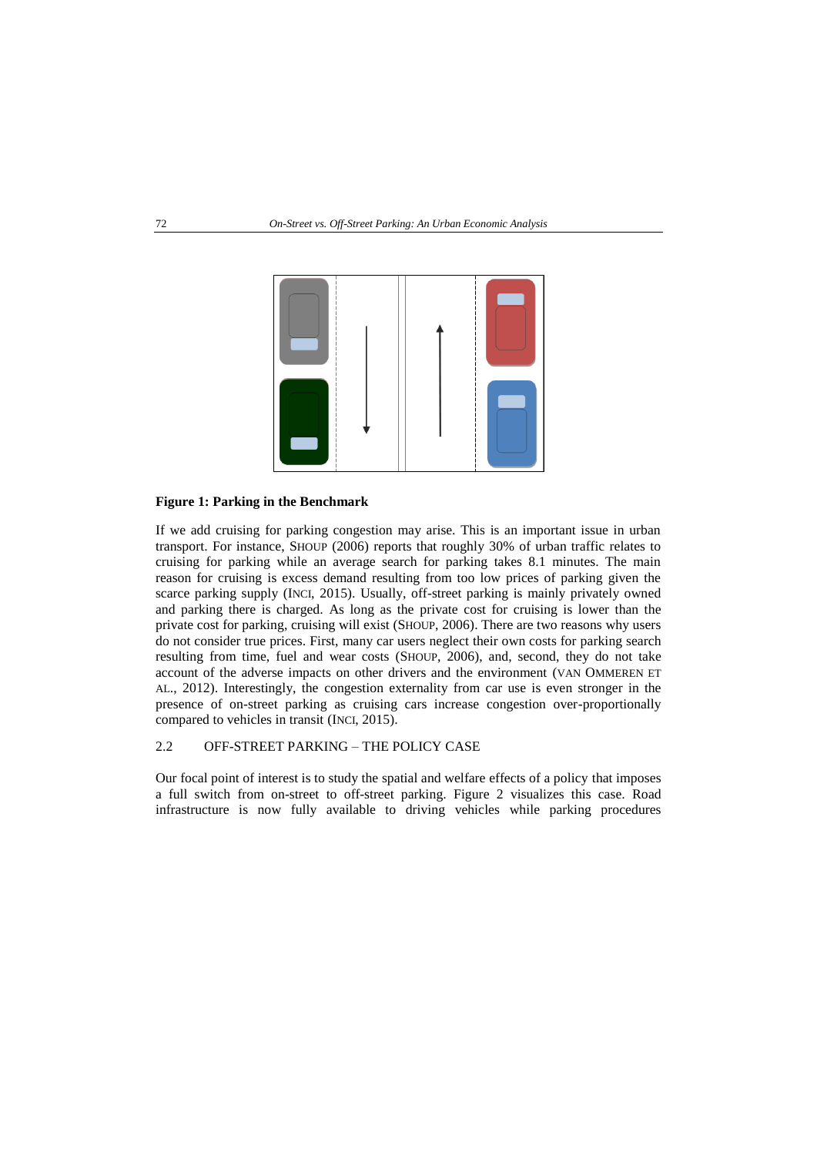

#### <span id="page-4-0"></span>**Figure 1: Parking in the Benchmark**

If we add cruising for parking congestion may arise. This is an important issue in urban transport. For instance, SHOUP (2006) reports that roughly 30% of urban traffic relates to cruising for parking while an average search for parking takes 8.1 minutes. The main reason for cruising is excess demand resulting from too low prices of parking given the scarce parking supply (INCI, 2015). Usually, off-street parking is mainly privately owned and parking there is charged. As long as the private cost for cruising is lower than the private cost for parking, cruising will exist (SHOUP, 2006). There are two reasons why users do not consider true prices. First, many car users neglect their own costs for parking search resulting from time, fuel and wear costs (SHOUP, 2006), and, second, they do not take account of the adverse impacts on other drivers and the environment (VAN OMMEREN ET AL., 2012). Interestingly, the congestion externality from car use is even stronger in the presence of on-street parking as cruising cars increase congestion over-proportionally compared to vehicles in transit (INCI, 2015).

#### 2.2 OFF-STREET PARKING – THE POLICY CASE

Our focal point of interest is to study the spatial and welfare effects of a policy that imposes a full switch from on-street to off-street parking. [Figure 2](#page-5-0) visualizes this case. Road infrastructure is now fully available to driving vehicles while parking procedures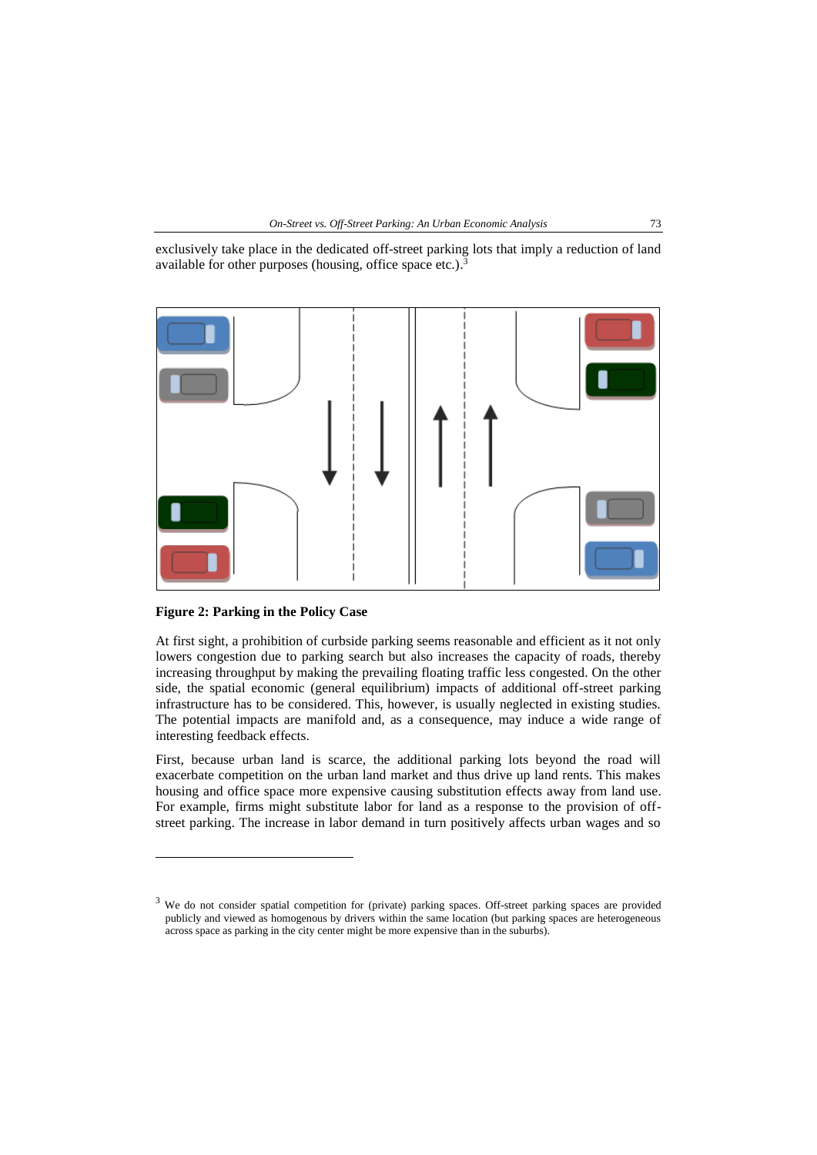

exclusively take place in the dedicated off-street parking lots that imply a reduction of land available for other purposes (housing, office space etc.).<sup>3</sup>



<span id="page-5-0"></span>**Figure 2: Parking in the Policy Case**

 $\overline{a}$ 

At first sight, a prohibition of curbside parking seems reasonable and efficient as it not only lowers congestion due to parking search but also increases the capacity of roads, thereby increasing throughput by making the prevailing floating traffic less congested. On the other side, the spatial economic (general equilibrium) impacts of additional off-street parking infrastructure has to be considered. This, however, is usually neglected in existing studies. The potential impacts are manifold and, as a consequence, may induce a wide range of interesting feedback effects.

First, because urban land is scarce, the additional parking lots beyond the road will exacerbate competition on the urban land market and thus drive up land rents. This makes housing and office space more expensive causing substitution effects away from land use. For example, firms might substitute labor for land as a response to the provision of offstreet parking. The increase in labor demand in turn positively affects urban wages and so

<sup>&</sup>lt;sup>3</sup> We do not consider spatial competition for (private) parking spaces. Off-street parking spaces are provided publicly and viewed as homogenous by drivers within the same location (but parking spaces are heterogeneous across space as parking in the city center might be more expensive than in the suburbs).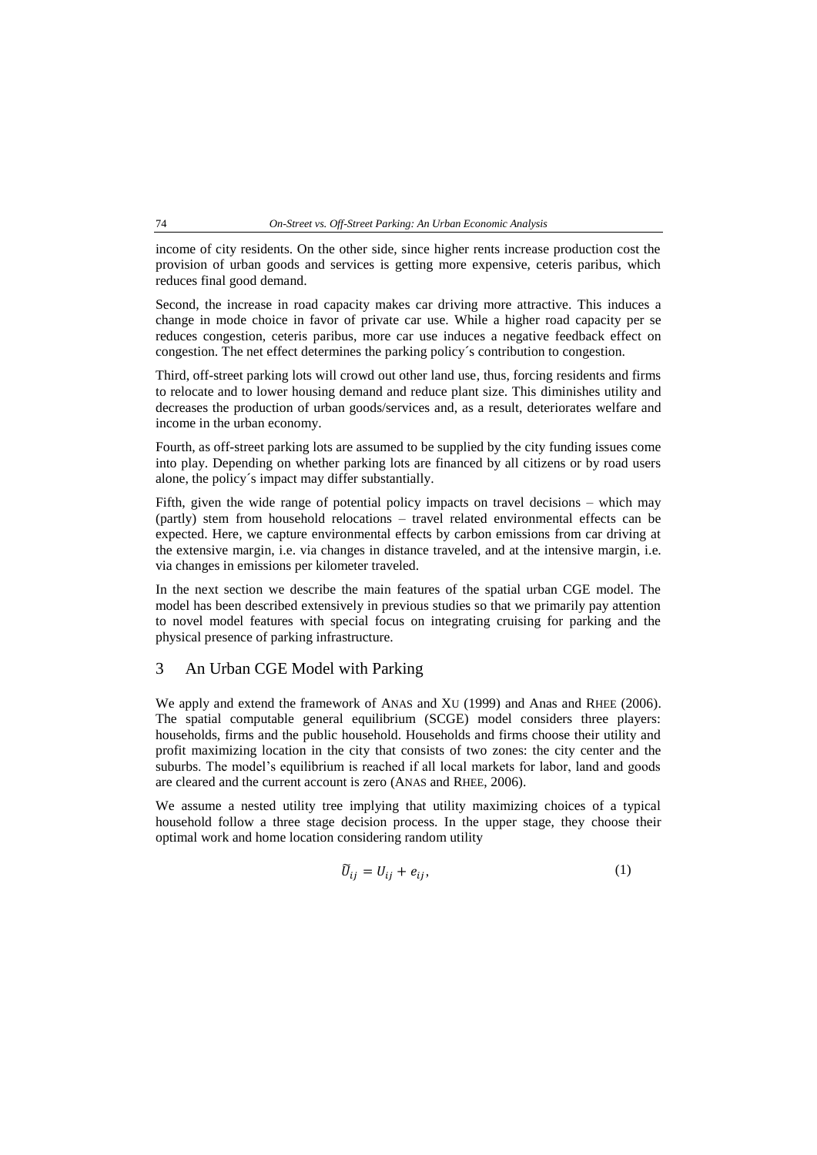income of city residents. On the other side, since higher rents increase production cost the provision of urban goods and services is getting more expensive, ceteris paribus, which reduces final good demand.

Second, the increase in road capacity makes car driving more attractive. This induces a change in mode choice in favor of private car use. While a higher road capacity per se reduces congestion, ceteris paribus, more car use induces a negative feedback effect on congestion. The net effect determines the parking policy´s contribution to congestion.

Third, off-street parking lots will crowd out other land use, thus, forcing residents and firms to relocate and to lower housing demand and reduce plant size. This diminishes utility and decreases the production of urban goods/services and, as a result, deteriorates welfare and income in the urban economy.

Fourth, as off-street parking lots are assumed to be supplied by the city funding issues come into play. Depending on whether parking lots are financed by all citizens or by road users alone, the policy´s impact may differ substantially.

Fifth, given the wide range of potential policy impacts on travel decisions – which may (partly) stem from household relocations – travel related environmental effects can be expected. Here, we capture environmental effects by carbon emissions from car driving at the extensive margin, i.e. via changes in distance traveled, and at the intensive margin, i.e. via changes in emissions per kilometer traveled.

In the next section we describe the main features of the spatial urban CGE model. The model has been described extensively in previous studies so that we primarily pay attention to novel model features with special focus on integrating cruising for parking and the physical presence of parking infrastructure.

## <span id="page-6-0"></span>3 An Urban CGE Model with Parking

We apply and extend the framework of ANAS and XU (1999) and Anas and RHEE (2006). The spatial computable general equilibrium (SCGE) model considers three players: households, firms and the public household. Households and firms choose their utility and profit maximizing location in the city that consists of two zones: the city center and the suburbs. The model's equilibrium is reached if all local markets for labor, land and goods are cleared and the current account is zero (ANAS and RHEE, 2006).

We assume a nested utility tree implying that utility maximizing choices of a typical household follow a three stage decision process. In the upper stage, they choose their optimal work and home location considering random utility

$$
\widetilde{U}_{ij} = U_{ij} + e_{ij},\tag{1}
$$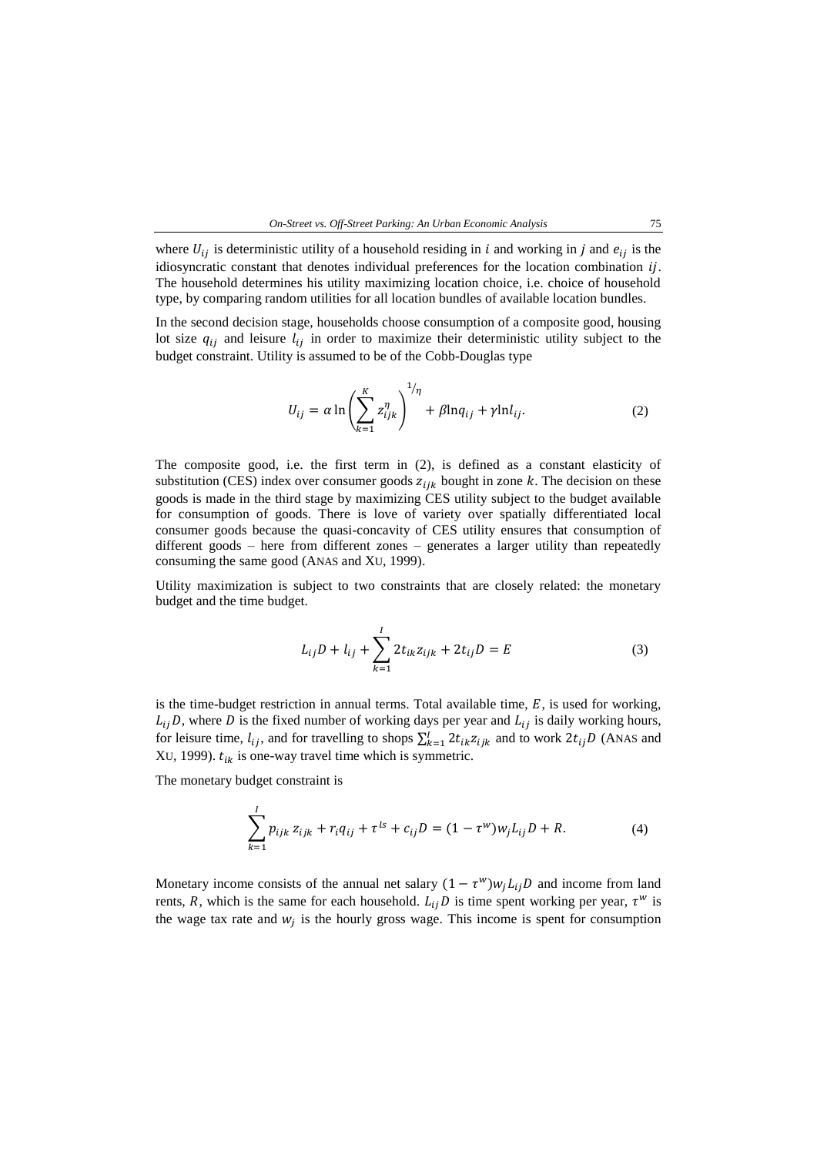

where  $U_{ij}$  is deterministic utility of a household residing in *i* and working in *j* and  $e_{ij}$  is the idiosyncratic constant that denotes individual preferences for the location combination  $i$ . The household determines his utility maximizing location choice, i.e. choice of household type, by comparing random utilities for all location bundles of available location bundles.

In the second decision stage, households choose consumption of a composite good, housing lot size  $q_{ij}$  and leisure  $l_{ij}$  in order to maximize their deterministic utility subject to the budget constraint. Utility is assumed to be of the Cobb-Douglas type

<span id="page-7-0"></span>
$$
U_{ij} = \alpha \ln \left( \sum_{k=1}^{K} z_{ijk}^{\eta} \right)^{1/\eta} + \beta \ln q_{ij} + \gamma \ln l_{ij}.
$$
 (2)

The composite good, i.e. the first term in [\(2\),](#page-7-0) is defined as a constant elasticity of substitution (CES) index over consumer goods  $z_{ijk}$  bought in zone k. The decision on these goods is made in the third stage by maximizing CES utility subject to the budget available for consumption of goods. There is love of variety over spatially differentiated local consumer goods because the quasi-concavity of CES utility ensures that consumption of different goods – here from different zones – generates a larger utility than repeatedly consuming the same good (ANAS and XU, 1999).

Utility maximization is subject to two constraints that are closely related: the monetary budget and the time budget.

$$
L_{ij}D + l_{ij} + \sum_{k=1}^{I} 2t_{ik}z_{ijk} + 2t_{ij}D = E
$$
 (3)

is the time-budget restriction in annual terms. Total available time,  $E$ , is used for working,  $L_{ij}$ D, where D is the fixed number of working days per year and  $L_{ij}$  is daily working hours, for leisure time,  $l_{ij}$ , and for travelling to shops  $\sum_{k=1}^{I} 2t_{ik}z_{ijk}$  and to work  $2t_{ij}D$  (ANAS and XU, 1999).  $t_{ik}$  is one-way travel time which is symmetric.

The monetary budget constraint is

$$
\sum_{k=1}^{I} p_{ijk} z_{ijk} + r_i q_{ij} + \tau^{ls} + c_{ij} D = (1 - \tau^w) w_j L_{ij} D + R.
$$
 (4)

Monetary income consists of the annual net salary  $(1 - \tau^w) w_j L_{ij} D$  and income from land rents, R, which is the same for each household.  $L_{ij}D$  is time spent working per year,  $\tau^w$  is the wage tax rate and  $w_j$  is the hourly gross wage. This income is spent for consumption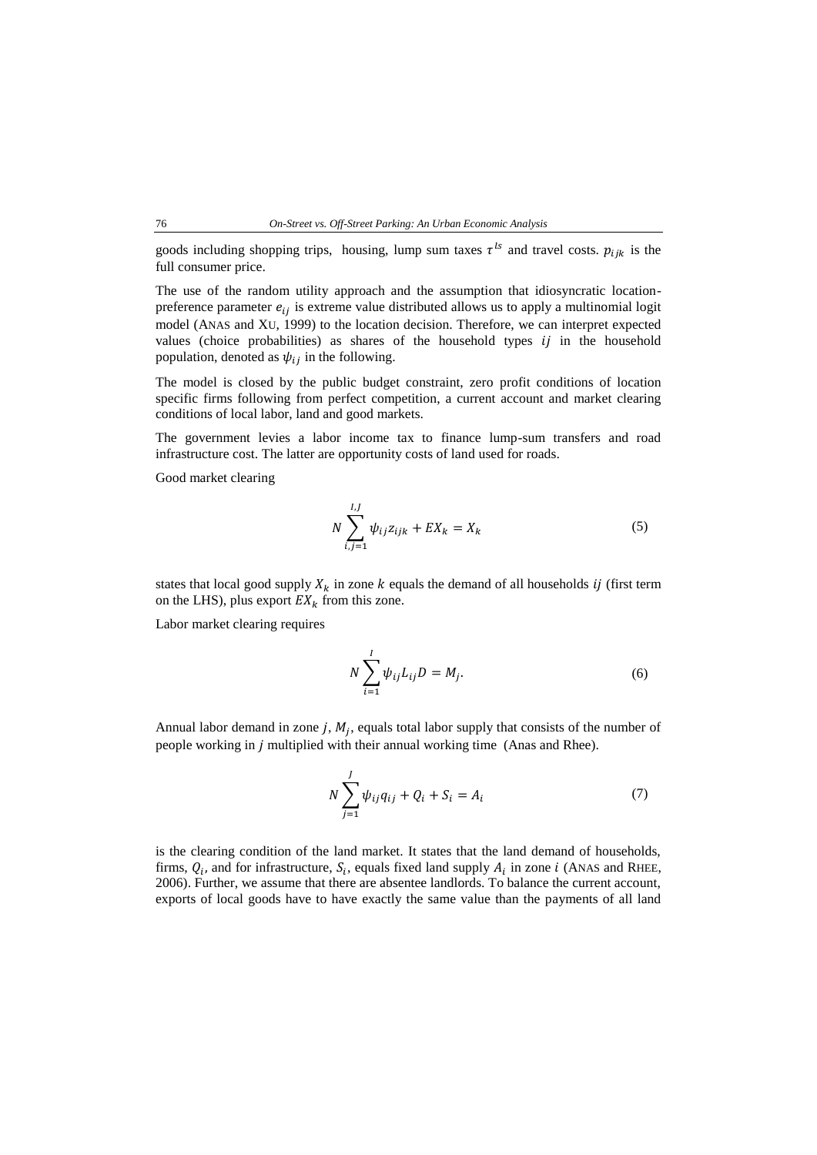#### 76 *On-Street vs. Off-Street Parking: An Urban Economic Analysis*

goods including shopping trips, housing, lump sum taxes  $\tau^{ls}$  and travel costs.  $p_{ijk}$  is the full consumer price.

The use of the random utility approach and the assumption that idiosyncratic locationpreference parameter  $e_{ij}$  is extreme value distributed allows us to apply a multinomial logit model (ANAS and XU, 1999) to the location decision. Therefore, we can interpret expected values (choice probabilities) as shares of the household types  $i\bar{j}$  in the household population, denoted as  $\psi_{ij}$  in the following.

The model is closed by the public budget constraint, zero profit conditions of location specific firms following from perfect competition, a current account and market clearing conditions of local labor, land and good markets.

The government levies a labor income tax to finance lump-sum transfers and road infrastructure cost. The latter are opportunity costs of land used for roads.

Good market clearing

$$
N\sum_{i,j=1}^{I,J} \psi_{ij} z_{ijk} + EX_k = X_k
$$
 (5)

states that local good supply  $X_k$  in zone  $k$  equals the demand of all households *ij* (first term on the LHS), plus export  $EX_k$  from this zone.

Labor market clearing requires

$$
N\sum_{i=1}^{I} \psi_{ij} L_{ij} D = M_j.
$$
 (6)

Annual labor demand in zone  $j$ ,  $M_j$ , equals total labor supply that consists of the number of people working in *j* multiplied with their annual working time (Anas and Rhee).

<span id="page-8-0"></span>
$$
N\sum_{j=1}^{J} \psi_{ij} q_{ij} + Q_i + S_i = A_i
$$
 (7)

is the clearing condition of the land market. It states that the land demand of households, firms,  $Q_i$ , and for infrastructure,  $S_i$ , equals fixed land supply  $A_i$  in zone *i* (ANAS and RHEE, 2006). Further, we assume that there are absentee landlords. To balance the current account, exports of local goods have to have exactly the same value than the payments of all land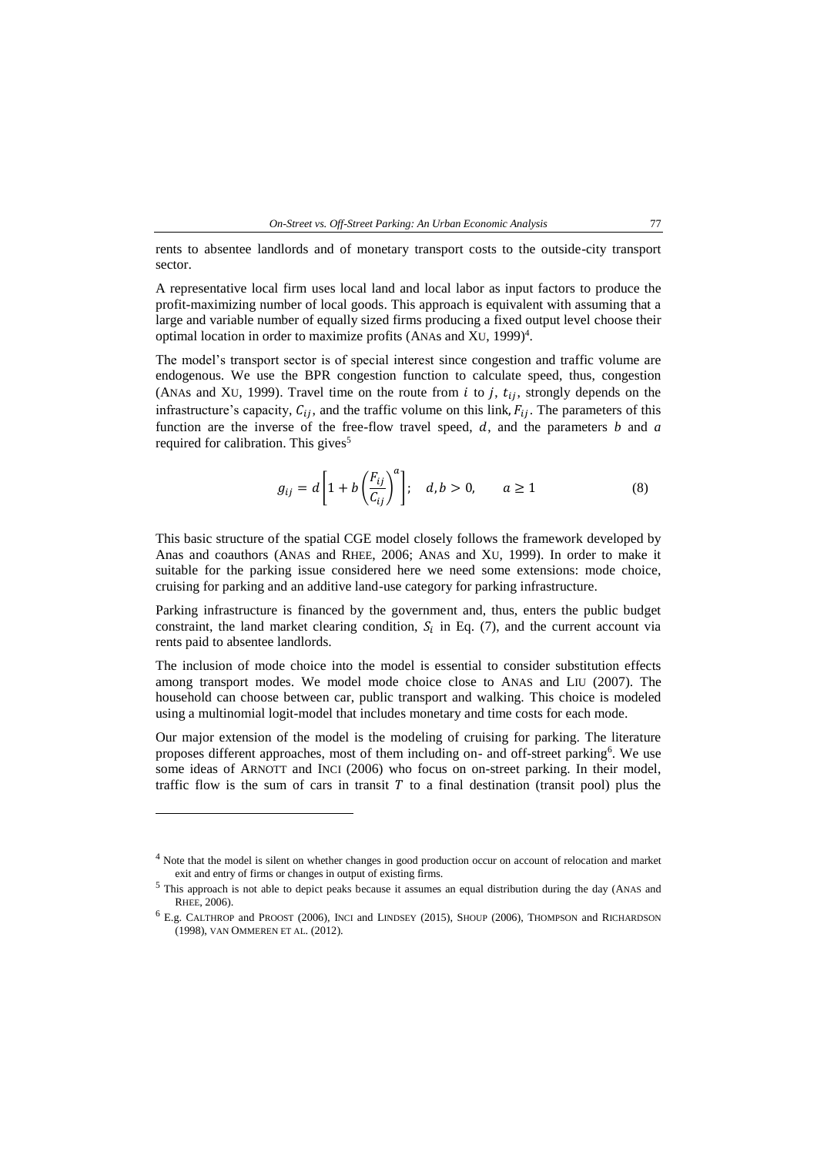

rents to absentee landlords and of monetary transport costs to the outside-city transport sector.

A representative local firm uses local land and local labor as input factors to produce the profit-maximizing number of local goods. This approach is equivalent with assuming that a large and variable number of equally sized firms producing a fixed output level choose their optimal location in order to maximize profits (ANAs and XU, 1999)<sup>4</sup>.

The model's transport sector is of special interest since congestion and traffic volume are endogenous. We use the BPR congestion function to calculate speed, thus, congestion (ANAs and XU, 1999). Travel time on the route from  $i$  to  $j$ ,  $t_{ij}$ , strongly depends on the infrastructure's capacity,  $C_{ij}$ , and the traffic volume on this link,  $F_{ij}$ . The parameters of this function are the inverse of the free-flow travel speed,  $d$ , and the parameters  $b$  and  $a$ required for calibration. This gives<sup>5</sup>

$$
g_{ij} = d\left[1 + b\left(\frac{F_{ij}}{C_{ij}}\right)^a\right]; \quad d, b > 0, \qquad a \ge 1
$$
 (8)

This basic structure of the spatial CGE model closely follows the framework developed by Anas and coauthors (ANAS and RHEE, 2006; ANAS and XU, 1999). In order to make it suitable for the parking issue considered here we need some extensions: mode choice, cruising for parking and an additive land-use category for parking infrastructure.

Parking infrastructure is financed by the government and, thus, enters the public budget constraint, the land market clearing condition,  $S_i$  in Eq. [\(7\),](#page-8-0) and the current account via rents paid to absentee landlords.

The inclusion of mode choice into the model is essential to consider substitution effects among transport modes. We model mode choice close to ANAS and LIU (2007). The household can choose between car, public transport and walking. This choice is modeled using a multinomial logit-model that includes monetary and time costs for each mode.

Our major extension of the model is the modeling of cruising for parking. The literature proposes different approaches, most of them including on- and off-street parking<sup>6</sup>. We use some ideas of ARNOTT and INCI (2006) who focus on on-street parking. In their model, traffic flow is the sum of cars in transit  $T$  to a final destination (transit pool) plus the

l

<sup>&</sup>lt;sup>4</sup> Note that the model is silent on whether changes in good production occur on account of relocation and market exit and entry of firms or changes in output of existing firms.

<sup>5</sup> This approach is not able to depict peaks because it assumes an equal distribution during the day (ANAS and RHEE, 2006).

<sup>6</sup> E.g. CALTHROP and PROOST (2006), INCI and LINDSEY (2015), SHOUP (2006), THOMPSON and RICHARDSON (1998), VAN OMMEREN ET AL. (2012).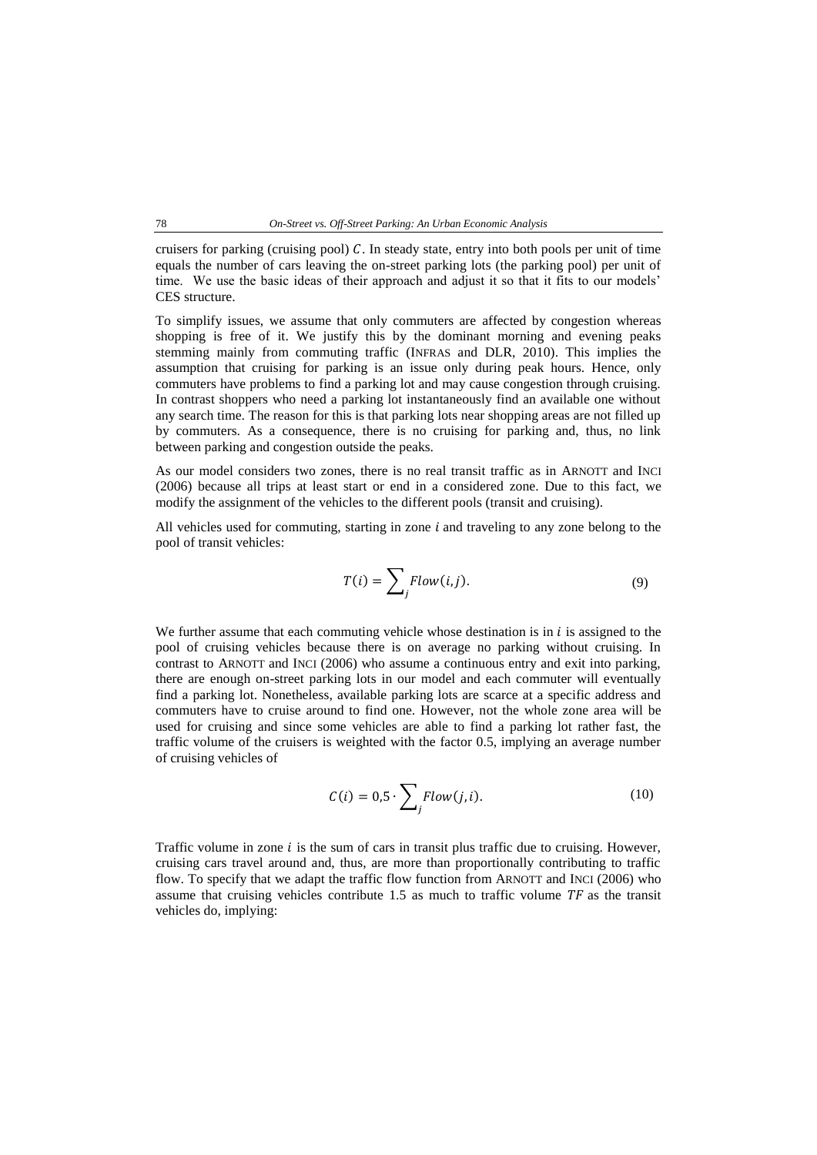cruisers for parking (cruising pool)  $C$ . In steady state, entry into both pools per unit of time equals the number of cars leaving the on-street parking lots (the parking pool) per unit of time. We use the basic ideas of their approach and adjust it so that it fits to our models' CES structure.

To simplify issues, we assume that only commuters are affected by congestion whereas shopping is free of it. We justify this by the dominant morning and evening peaks stemming mainly from commuting traffic (INFRAS and DLR, 2010). This implies the assumption that cruising for parking is an issue only during peak hours. Hence, only commuters have problems to find a parking lot and may cause congestion through cruising. In contrast shoppers who need a parking lot instantaneously find an available one without any search time. The reason for this is that parking lots near shopping areas are not filled up by commuters. As a consequence, there is no cruising for parking and, thus, no link between parking and congestion outside the peaks.

As our model considers two zones, there is no real transit traffic as in ARNOTT and INCI (2006) because all trips at least start or end in a considered zone. Due to this fact, we modify the assignment of the vehicles to the different pools (transit and cruising).

All vehicles used for commuting, starting in zone  $i$  and traveling to any zone belong to the pool of transit vehicles:

$$
T(i) = \sum_{j} Flow(i, j). \tag{9}
$$

We further assume that each commuting vehicle whose destination is in  $i$  is assigned to the pool of cruising vehicles because there is on average no parking without cruising. In contrast to ARNOTT and INCI (2006) who assume a continuous entry and exit into parking, there are enough on-street parking lots in our model and each commuter will eventually find a parking lot. Nonetheless, available parking lots are scarce at a specific address and commuters have to cruise around to find one. However, not the whole zone area will be used for cruising and since some vehicles are able to find a parking lot rather fast, the traffic volume of the cruisers is weighted with the factor 0.5, implying an average number of cruising vehicles of

$$
C(i) = 0.5 \cdot \sum_{j} Flow(j, i). \tag{10}
$$

Traffic volume in zone  $i$  is the sum of cars in transit plus traffic due to cruising. However, cruising cars travel around and, thus, are more than proportionally contributing to traffic flow. To specify that we adapt the traffic flow function from ARNOTT and INCI (2006) who assume that cruising vehicles contribute  $1.5$  as much to traffic volume  $TF$  as the transit vehicles do, implying: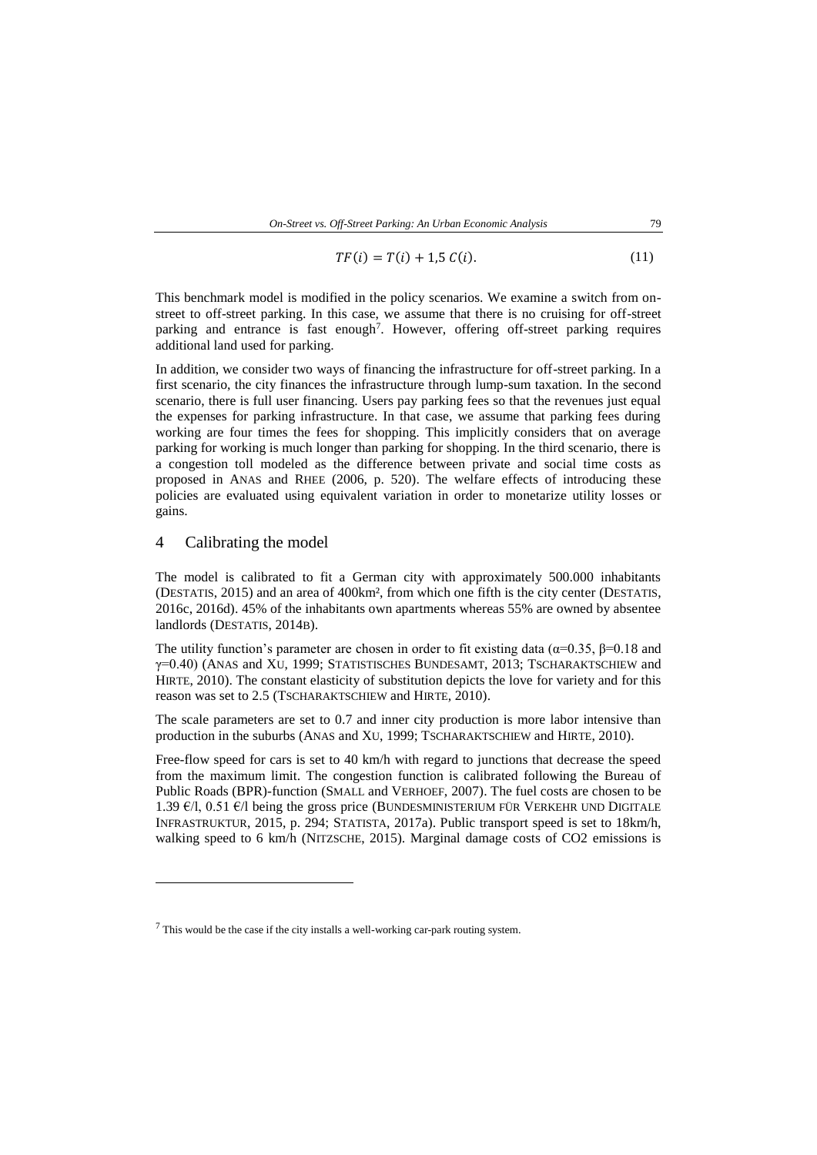$$
TF(i) = T(i) + 1.5 C(i).
$$
 (11)

This benchmark model is modified in the policy scenarios. We examine a switch from onstreet to off-street parking. In this case, we assume that there is no cruising for off-street parking and entrance is fast enough<sup>7</sup>. However, offering off-street parking requires additional land used for parking.

In addition, we consider two ways of financing the infrastructure for off-street parking. In a first scenario, the city finances the infrastructure through lump-sum taxation. In the second scenario, there is full user financing. Users pay parking fees so that the revenues just equal the expenses for parking infrastructure. In that case, we assume that parking fees during working are four times the fees for shopping. This implicitly considers that on average parking for working is much longer than parking for shopping. In the third scenario, there is a congestion toll modeled as the difference between private and social time costs as proposed in ANAS and RHEE (2006, p. 520). The welfare effects of introducing these policies are evaluated using equivalent variation in order to monetarize utility losses or gains.

#### 4 Calibrating the model

 $\overline{a}$ 

The model is calibrated to fit a German city with approximately 500.000 inhabitants (DESTATIS, 2015) and an area of 400km², from which one fifth is the city center (DESTATIS, 2016c, 2016d). 45% of the inhabitants own apartments whereas 55% are owned by absentee landlords (DESTATIS, 2014B).

The utility function's parameter are chosen in order to fit existing data ( $\alpha$ =0.35,  $\beta$ =0.18 and γ=0.40) (ANAS and XU, 1999; STATISTISCHES BUNDESAMT, 2013; TSCHARAKTSCHIEW and HIRTE, 2010). The constant elasticity of substitution depicts the love for variety and for this reason was set to 2.5 (TSCHARAKTSCHIEW and HIRTE, 2010).

The scale parameters are set to 0.7 and inner city production is more labor intensive than production in the suburbs (ANAS and XU, 1999; TSCHARAKTSCHIEW and HIRTE, 2010).

Free-flow speed for cars is set to 40 km/h with regard to junctions that decrease the speed from the maximum limit. The congestion function is calibrated following the Bureau of Public Roads (BPR)-function (SMALL and VERHOEF, 2007). The fuel costs are chosen to be 1.39  $\epsilon$ /l, 0.51  $\epsilon$ /l being the gross price (BUNDESMINISTERIUM FÜR VERKEHR UND DIGITALE INFRASTRUKTUR, 2015, p. 294; STATISTA, 2017a). Public transport speed is set to 18km/h, walking speed to 6 km/h (NITZSCHE, 2015). Marginal damage costs of CO2 emissions is

<sup>7</sup> This would be the case if the city installs a well-working car-park routing system.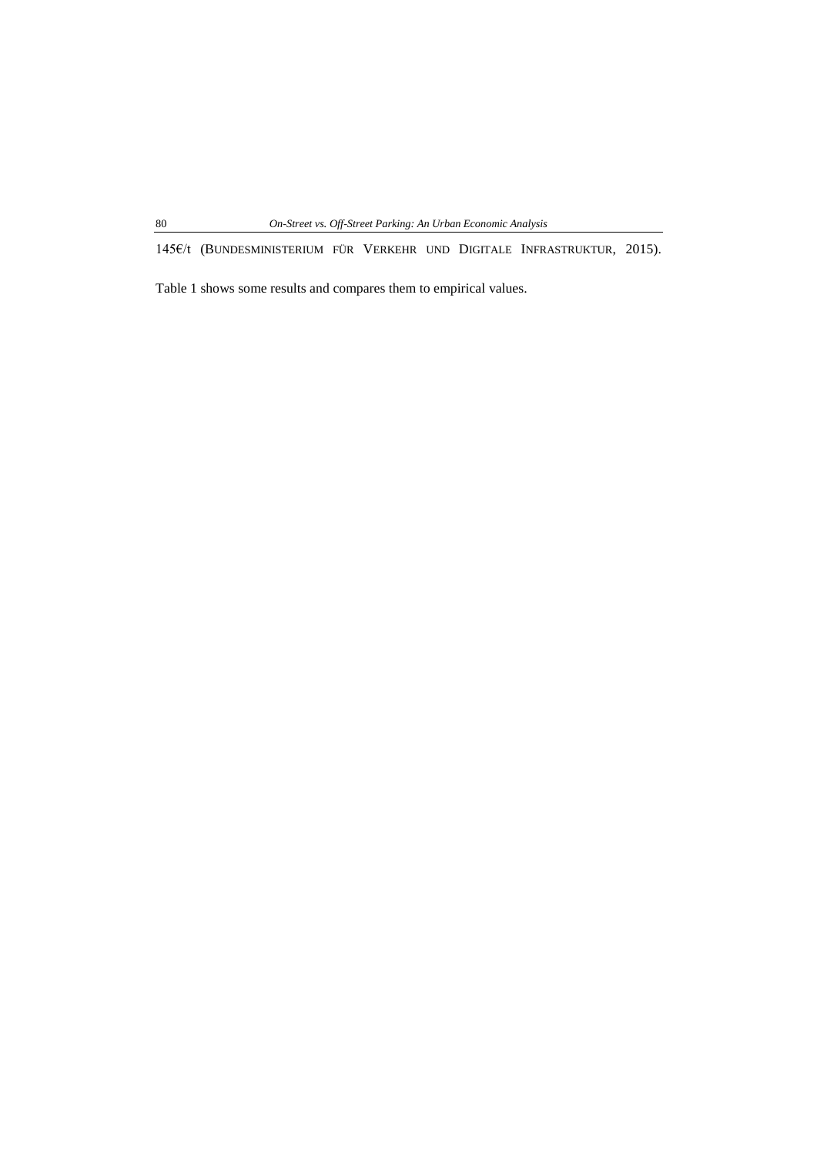145€/t (BUNDESMINISTERIUM FÜR VERKEHR UND DIGITALE INFRASTRUKTUR, 2015).

 $\overline{\phantom{a}}$ 

Table 1 shows some results and compares them to empirical values.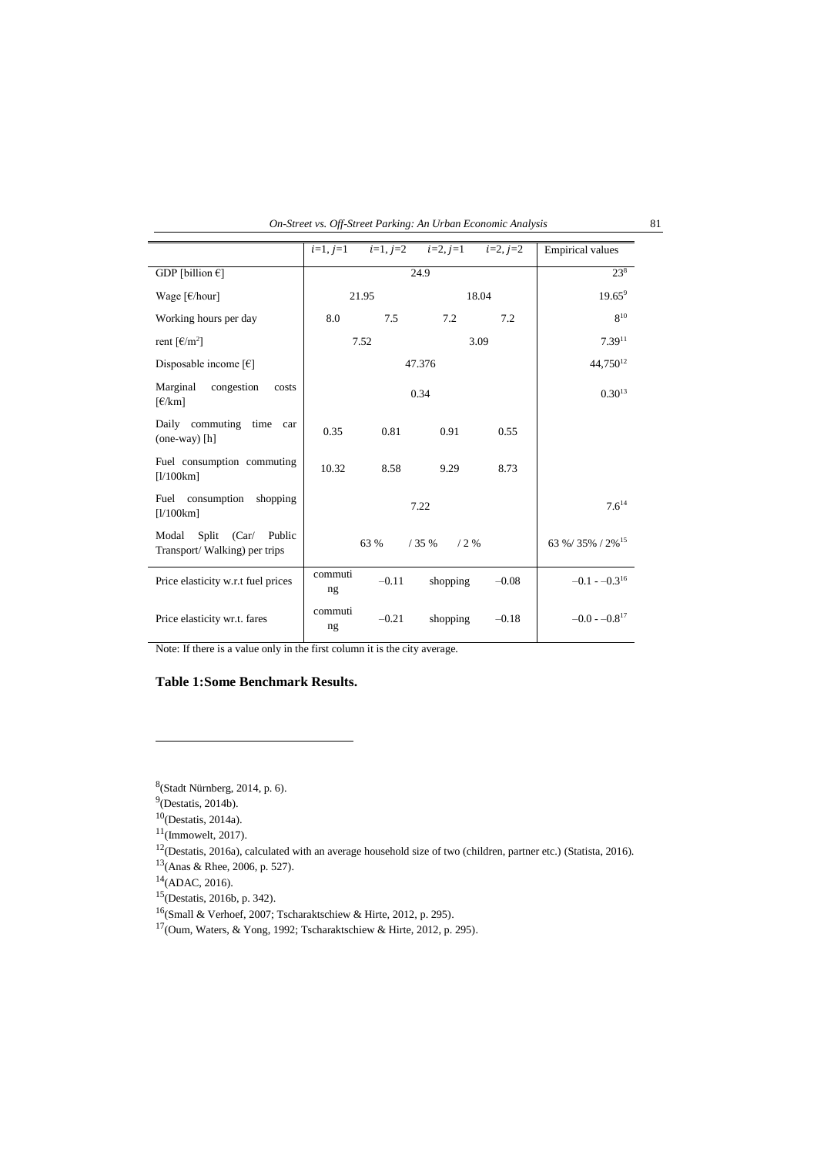| On-Street vs. Off-Street Parking: An Urban Economic Analysis |  |
|--------------------------------------------------------------|--|
|--------------------------------------------------------------|--|

|                                                                        | $i=1, j=1$          |         | $i=1, j=2$ $i=2, j=1$ $i=2, j=2$ |               | <b>Empirical values</b>    |
|------------------------------------------------------------------------|---------------------|---------|----------------------------------|---------------|----------------------------|
| GDP [billion $\epsilon$ ]                                              | 24.9                |         |                                  |               | $23^{8}$                   |
| Wage $\lceil \frac{\epsilon}{\text{hour}} \rceil$                      | 21.95               |         | 18.04                            |               | $19.65^9$                  |
| Working hours per day                                                  | 8.0                 | 7.5     | 7.2                              | 7.2           | $8^{10}$                   |
| rent $\lceil \frac{\epsilon}{m^2} \rceil$                              | 7.52<br>3.09        |         | $7.39^{11}$                      |               |                            |
| Disposable income $\lceil \epsilon \rceil$                             | 47.376              |         |                                  | $44.750^{12}$ |                            |
| Marginal<br>congestion<br>costs<br>$\lceil \frac{\epsilon}{km} \rceil$ | 0.34                |         |                                  | $0.30^{13}$   |                            |
| Daily commuting time<br>car<br>$(one-way)$ [h]                         | 0.35                | 0.81    | 0.91                             | 0.55          |                            |
| Fuel consumption commuting<br>[1/100km]                                | 10.32               | 8.58    | 9.29                             | 8.73          |                            |
| Fuel consumption<br>shopping<br>[1/100km]                              | 7.22                |         |                                  | $7.6^{14}$    |                            |
| Split (Car/<br>Public<br>Modal<br>Transport/Walking) per trips         | /35%<br>63 %<br>/2% |         |                                  | 63 %/35%/2%15 |                            |
| Price elasticity w.r.t fuel prices                                     | commuti<br>ng       | $-0.11$ | shopping                         | $-0.08$       | $-0.1 - -0.3^{16}$         |
| Price elasticity wr.t. fares                                           | commuti<br>ng       | $-0.21$ | shopping                         | $-0.18$       | $-0.0 - 0.8$ <sup>17</sup> |

Note: If there is a value only in the first column it is the city average.

## **Table 1:Some Benchmark Results.**

 $^{8}$ (Stadt Nürnberg, 2014, p. 6).

 $\overline{a}$ 

 $^{9}$ (Destatis, 2014b).

 $10$ (Destatis, 2014a).

 $11$ (Immowelt, 2017).

 $12$ (Destatis, 2016a), calculated with an average household size of two (children, partner etc.) (Statista, 2016).

<sup>13</sup>(Anas & Rhee, 2006, p. 527).

 $^{14}$ (ADAC, 2016).

<sup>15</sup>(Destatis, 2016b, p. 342).

 $16$ (Small & Verhoef, 2007; Tscharaktschiew & Hirte, 2012, p. 295).

 $17$ (Oum, Waters, & Yong, 1992; Tscharaktschiew & Hirte, 2012, p. 295).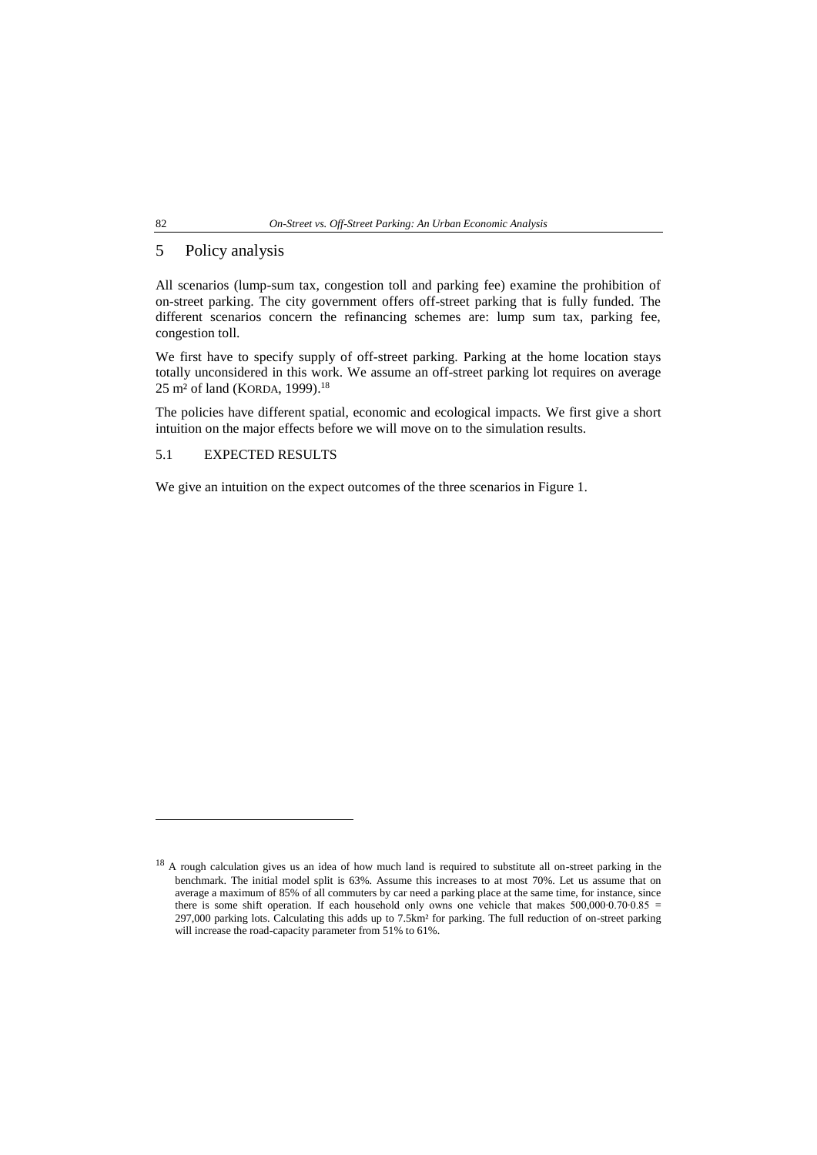## 5 Policy analysis

All scenarios (lump-sum tax, congestion toll and parking fee) examine the prohibition of on-street parking. The city government offers off-street parking that is fully funded. The different scenarios concern the refinancing schemes are: lump sum tax, parking fee, congestion toll.

We first have to specify supply of off-street parking. Parking at the home location stays totally unconsidered in this work. We assume an off-street parking lot requires on average 25 m² of land (KORDA, 1999). 18

The policies have different spatial, economic and ecological impacts. We first give a short intuition on the major effects before we will move on to the simulation results.

## 5.1 EXPECTED RESULTS

We give an intuition on the expect outcomes of the three scenarios in Figure 1.

 $\overline{a}$ 

<sup>&</sup>lt;sup>18</sup> A rough calculation gives us an idea of how much land is required to substitute all on-street parking in the benchmark. The initial model split is 63%. Assume this increases to at most 70%. Let us assume that on average a maximum of 85% of all commuters by car need a parking place at the same time, for instance, since there is some shift operation. If each household only owns one vehicle that makes 500,000∙0.70∙0.85 = 297,000 parking lots. Calculating this adds up to 7.5km² for parking. The full reduction of on-street parking will increase the road-capacity parameter from 51% to 61%.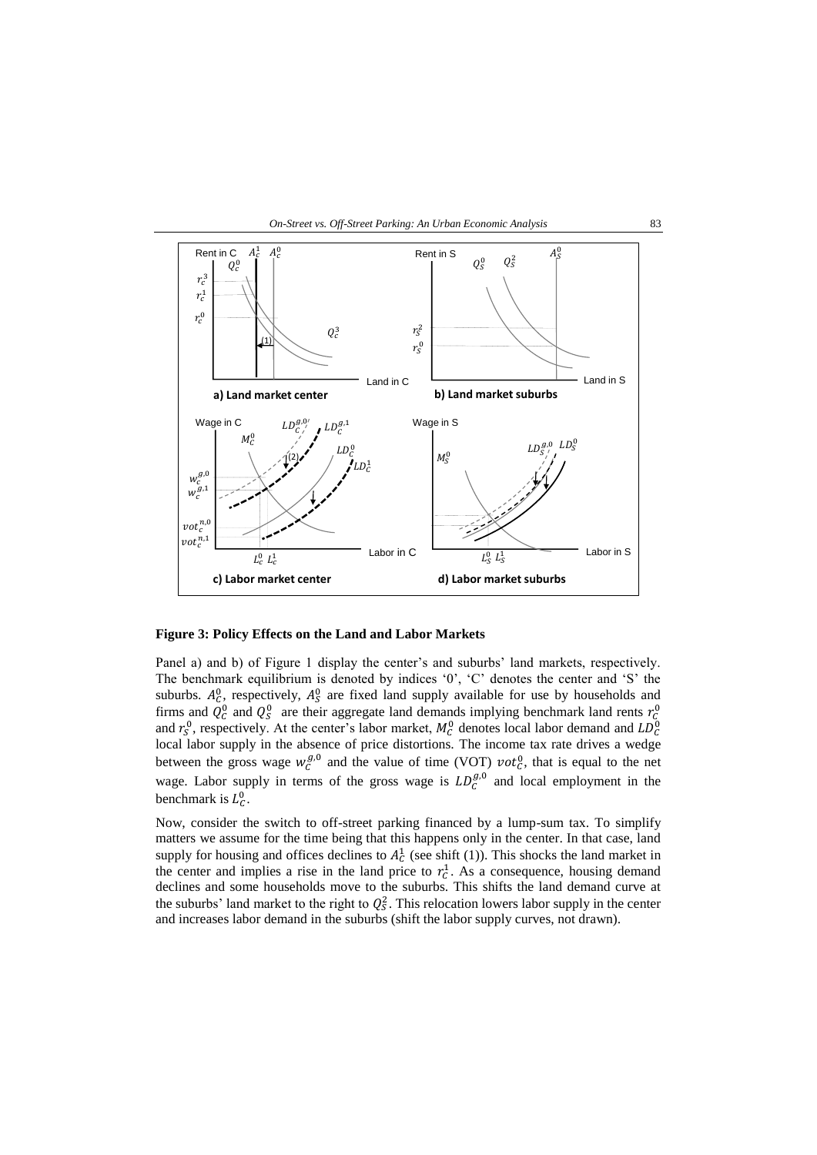



**Figure 3: Policy Effects on the Land and Labor Markets**

Panel a) and b) of Figure 1 display the center's and suburbs' land markets, respectively. The benchmark equilibrium is denoted by indices '0', 'C' denotes the center and 'S' the suburbs.  $A_C^0$ , respectively,  $A_S^0$  are fixed land supply available for use by households and firms and  $Q_C^0$  and  $Q_S^0$  are their aggregate land demands implying benchmark land rents  $r_C^0$ and  $r_S^0$ , respectively. At the center's labor market,  $M_C^0$  denotes local labor demand and  $LD_C^0$ local labor supply in the absence of price distortions. The income tax rate drives a wedge between the gross wage  $w_c^{g,0}$  and the value of time (VOT)  $\nu o t_c^0$ , that is equal to the net wage. Labor supply in terms of the gross wage is  $LD_{\mathcal{C}}^{g,0}$  and local employment in the benchmark is  $L_c^0$ .

Now, consider the switch to off-street parking financed by a lump-sum tax. To simplify matters we assume for the time being that this happens only in the center. In that case, land supply for housing and offices declines to  $A_C^1$  (see shift (1)). This shocks the land market in the center and implies a rise in the land price to  $r_c^1$ . As a consequence, housing demand declines and some households move to the suburbs. This shifts the land demand curve at the suburbs' land market to the right to  $Q_s^2$ . This relocation lowers labor supply in the center and increases labor demand in the suburbs (shift the labor supply curves, not drawn).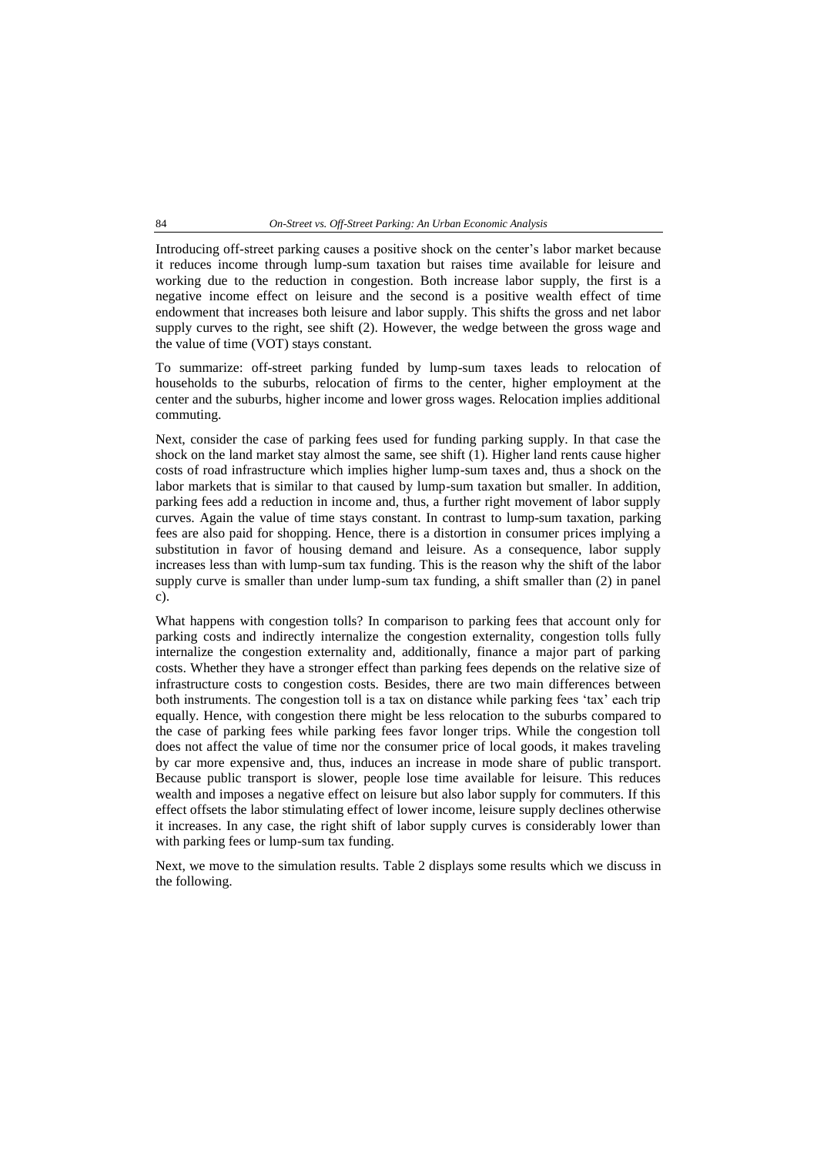#### 84 *On-Street vs. Off-Street Parking: An Urban Economic Analysis*

Introducing off-street parking causes a positive shock on the center's labor market because it reduces income through lump-sum taxation but raises time available for leisure and working due to the reduction in congestion. Both increase labor supply, the first is a negative income effect on leisure and the second is a positive wealth effect of time endowment that increases both leisure and labor supply. This shifts the gross and net labor supply curves to the right, see shift (2). However, the wedge between the gross wage and the value of time (VOT) stays constant.

To summarize: off-street parking funded by lump-sum taxes leads to relocation of households to the suburbs, relocation of firms to the center, higher employment at the center and the suburbs, higher income and lower gross wages. Relocation implies additional commuting.

Next, consider the case of parking fees used for funding parking supply. In that case the shock on the land market stay almost the same, see shift (1). Higher land rents cause higher costs of road infrastructure which implies higher lump-sum taxes and, thus a shock on the labor markets that is similar to that caused by lump-sum taxation but smaller. In addition, parking fees add a reduction in income and, thus, a further right movement of labor supply curves. Again the value of time stays constant. In contrast to lump-sum taxation, parking fees are also paid for shopping. Hence, there is a distortion in consumer prices implying a substitution in favor of housing demand and leisure. As a consequence, labor supply increases less than with lump-sum tax funding. This is the reason why the shift of the labor supply curve is smaller than under lump-sum tax funding, a shift smaller than (2) in panel c).

What happens with congestion tolls? In comparison to parking fees that account only for parking costs and indirectly internalize the congestion externality, congestion tolls fully internalize the congestion externality and, additionally, finance a major part of parking costs. Whether they have a stronger effect than parking fees depends on the relative size of infrastructure costs to congestion costs. Besides, there are two main differences between both instruments. The congestion toll is a tax on distance while parking fees 'tax' each trip equally. Hence, with congestion there might be less relocation to the suburbs compared to the case of parking fees while parking fees favor longer trips. While the congestion toll does not affect the value of time nor the consumer price of local goods, it makes traveling by car more expensive and, thus, induces an increase in mode share of public transport. Because public transport is slower, people lose time available for leisure. This reduces wealth and imposes a negative effect on leisure but also labor supply for commuters. If this effect offsets the labor stimulating effect of lower income, leisure supply declines otherwise it increases. In any case, the right shift of labor supply curves is considerably lower than with parking fees or lump-sum tax funding.

Next, we move to the simulation results. Table 2 displays some results which we discuss in the following.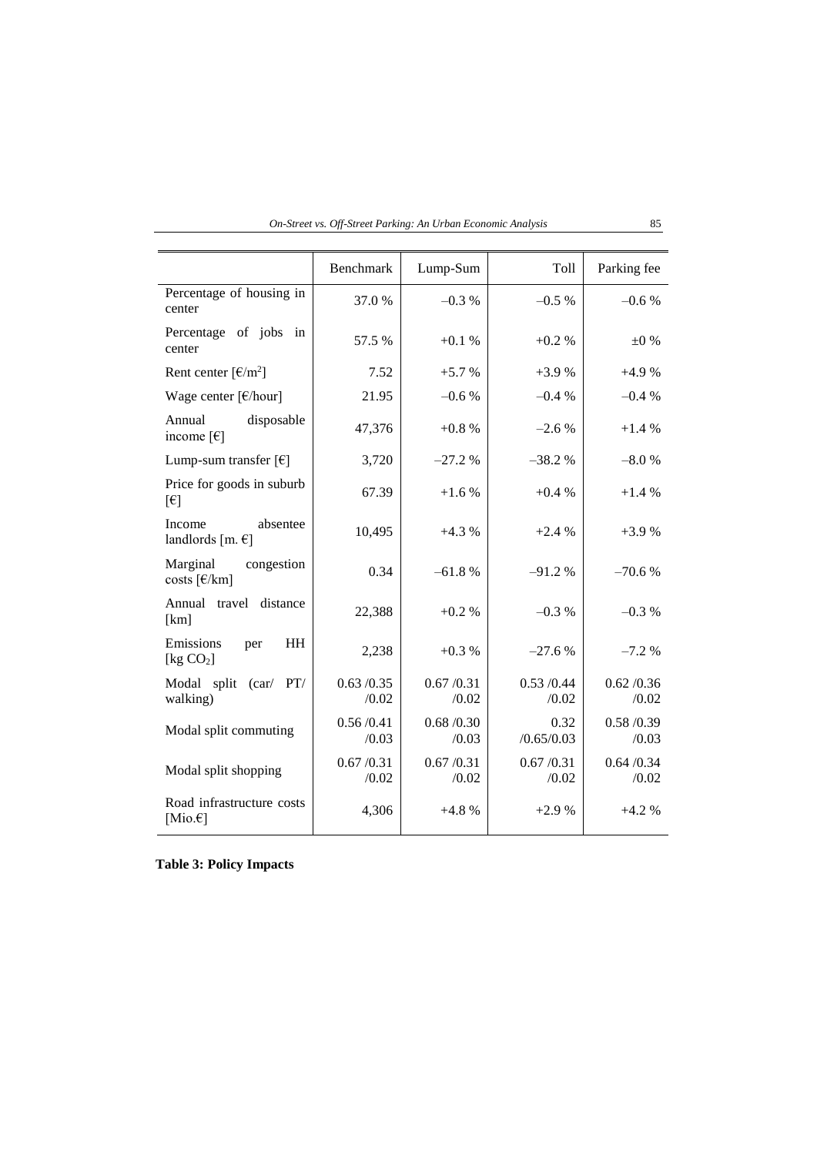| On-Street vs. Off-Street Parking: An Urban Economic Analysis |  |  |  |
|--------------------------------------------------------------|--|--|--|
|                                                              |  |  |  |

|                                                          | Benchmark            | Lump-Sum           | Toll               | Parking fee          |
|----------------------------------------------------------|----------------------|--------------------|--------------------|----------------------|
| Percentage of housing in<br>center                       | 37.0 %               | $-0.3\%$           | $-0.5%$            | $-0.6%$              |
| Percentage of jobs in<br>center                          | 57.5 %               | $+0.1%$            | $+0.2 %$           | $\pm 0$ %            |
| Rent center $\lceil \frac{\epsilon}{m^2} \rceil$         | 7.52                 | $+5.7%$            | $+3.9%$            | $+4.9%$              |
| Wage center $\lceil \frac{\epsilon}{\text{hour}} \rceil$ | 21.95                | $-0.6%$            | $-0.4%$            | $-0.4\%$             |
| Annual<br>disposable<br>income $\lceil \epsilon \rceil$  | 47,376               | $+0.8%$            | $-2.6%$            | $+1.4%$              |
| Lump-sum transfer $\lceil \epsilon \rceil$               | 3,720                | $-27.2%$           | $-38.2%$           | $-8.0%$              |
| Price for goods in suburb<br>[6]                         | 67.39                | $+1.6%$            | $+0.4%$            | $+1.4%$              |
| Income<br>absentee<br>landlords [m. $\epsilon$ ]         | 10,495               | $+4.3%$            | $+2.4%$            | $+3.9%$              |
| Marginal<br>congestion<br>costs [€/km]                   | 0.34                 | $-61.8%$           | $-91.2%$           | $-70.6%$             |
| Annual travel distance<br>[km]                           | 22,388               | $+0.2%$            | $-0.3%$            | $-0.3%$              |
| Emissions<br><b>HH</b><br>per<br>[ $kg CO2$ ]            | 2,238                | $+0.3%$            | $-27.6%$           | $-7.2%$              |
| Modal split (car/ PT/<br>walking)                        | 0.63 / 0.35<br>/0.02 | 0.67/0.31<br>/0.02 | 0.53/0.44<br>/0.02 | 0.62 / 0.36<br>/0.02 |
| Modal split commuting                                    | 0.56/0.41<br>/0.03   | 0.68/0.30<br>/0.03 | 0.32<br>/0.65/0.03 | 0.58/0.39<br>/0.03   |
| Modal split shopping                                     | 0.67/0.31<br>/0.02   | 0.67/0.31<br>/0.02 | 0.67/0.31<br>/0.02 | 0.64 / 0.34<br>/0.02 |
| Road infrastructure costs<br>[Mio. $\epsilon$ ]          | 4,306                | $+4.8%$            | $+2.9%$            | $+4.2%$              |

**Table 3: Policy Impacts**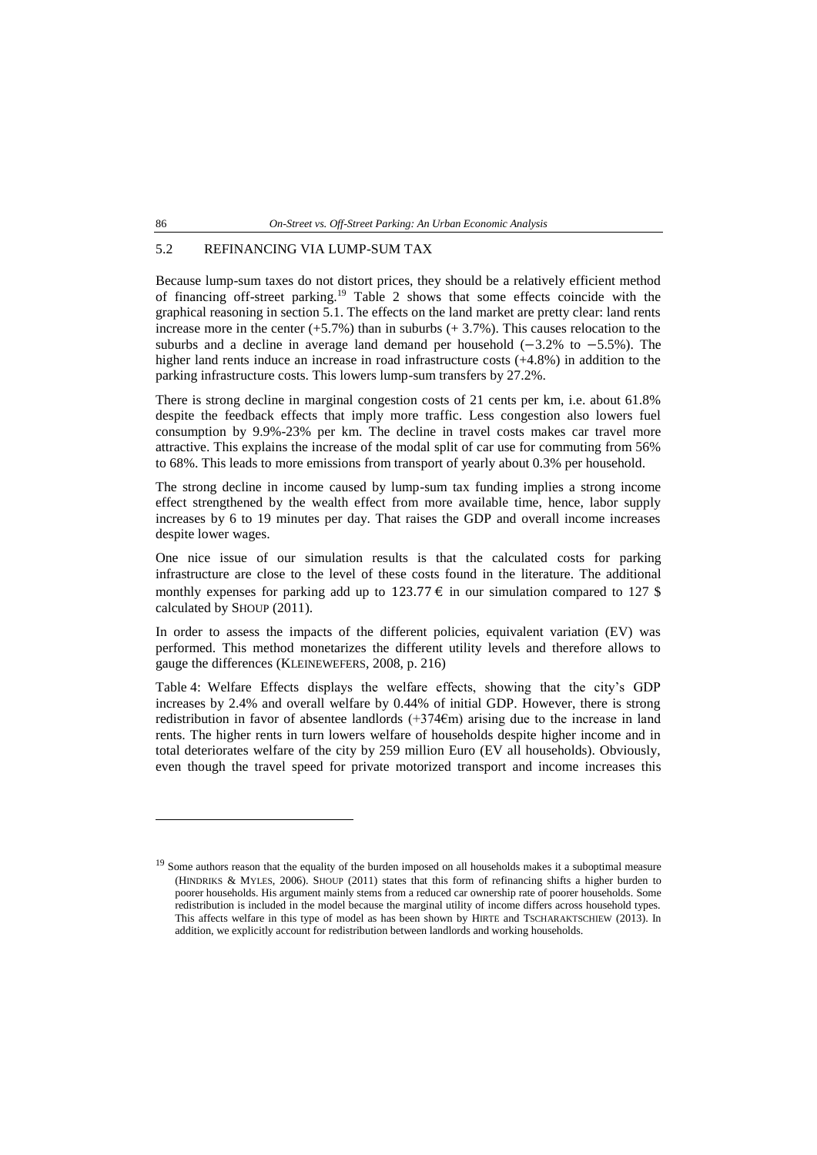## 5.2 REFINANCING VIA LUMP-SUM TAX

Because lump-sum taxes do not distort prices, they should be a relatively efficient method of financing off-street parking.<sup>19</sup> Table 2 shows that some effects coincide with the graphical reasoning in section 5.1. The effects on the land market are pretty clear: land rents increase more in the center  $(+5.7%)$  than in suburbs  $(+ 3.7%)$ . This causes relocation to the suburbs and a decline in average land demand per household (−3.2% to −5.5%). The higher land rents induce an increase in road infrastructure costs  $(+4.8%)$  in addition to the parking infrastructure costs. This lowers lump-sum transfers by 27.2%.

There is strong decline in marginal congestion costs of 21 cents per km, i.e. about 61.8% despite the feedback effects that imply more traffic. Less congestion also lowers fuel consumption by 9.9%-23% per km. The decline in travel costs makes car travel more attractive. This explains the increase of the modal split of car use for commuting from 56% to 68%. This leads to more emissions from transport of yearly about 0.3% per household.

The strong decline in income caused by lump-sum tax funding implies a strong income effect strengthened by the wealth effect from more available time, hence, labor supply increases by 6 to 19 minutes per day. That raises the GDP and overall income increases despite lower wages.

One nice issue of our simulation results is that the calculated costs for parking infrastructure are close to the level of these costs found in the literature. The additional monthly expenses for parking add up to 123.77  $\epsilon$  in our simulation compared to 127 \$ calculated by SHOUP (2011).

In order to assess the impacts of the different policies, equivalent variation (EV) was performed. This method monetarizes the different utility levels and therefore allows to gauge the differences (KLEINEWEFERS, 2008, p. 216)

Table 4: [Welfare Effects](#page-19-0) displays the welfare effects, showing that the city's GDP increases by 2.4% and overall welfare by 0.44% of initial GDP. However, there is strong redistribution in favor of absentee landlords (+374€m) arising due to the increase in land rents. The higher rents in turn lowers welfare of households despite higher income and in total deteriorates welfare of the city by 259 million Euro (EV all households). Obviously, even though the travel speed for private motorized transport and income increases this

 $\overline{a}$ 

<sup>&</sup>lt;sup>19</sup> Some authors reason that the equality of the burden imposed on all households makes it a suboptimal measure (HINDRIKS & MYLES, 2006). SHOUP (2011) states that this form of refinancing shifts a higher burden to poorer households. His argument mainly stems from a reduced car ownership rate of poorer households. Some redistribution is included in the model because the marginal utility of income differs across household types. This affects welfare in this type of model as has been shown by HIRTE and TSCHARAKTSCHIEW (2013). In addition, we explicitly account for redistribution between landlords and working households.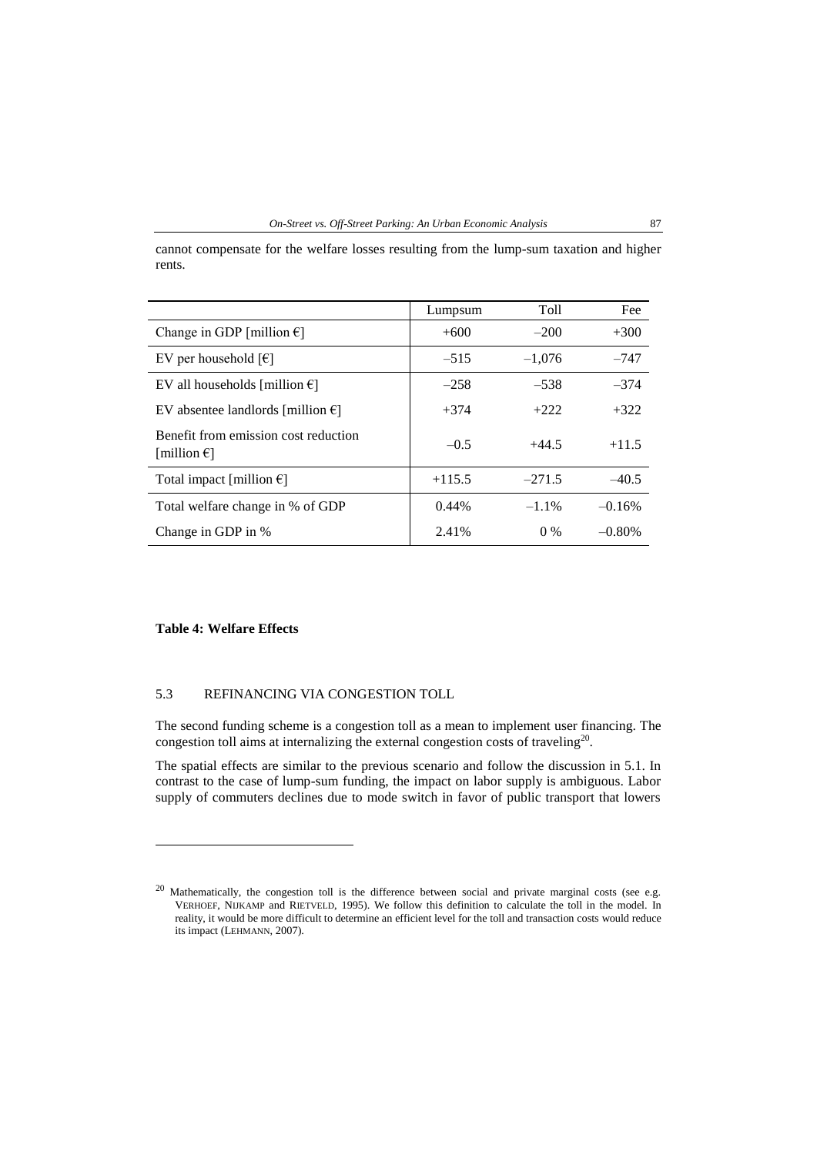cannot compensate for the welfare losses resulting from the lump-sum taxation and higher rents.

|                                                               | Lumpsum  | Toll     | Fee      |
|---------------------------------------------------------------|----------|----------|----------|
| Change in GDP [million $\epsilon$ ]                           | $+600$   | $-200$   | $+300$   |
| EV per household $\lceil \epsilon \rceil$                     | $-515$   | $-1.076$ | $-747$   |
| EV all households [million $\epsilon$ ]                       | $-258$   | $-538$   | $-374$   |
| EV absentee landlords [million $\epsilon$ ]                   | $+374$   | $+222$   | $+322$   |
| Benefit from emission cost reduction<br>[million $\epsilon$ ] | $-0.5$   | $+44.5$  | $+11.5$  |
| Total impact [million $\epsilon$ ]                            | $+115.5$ | $-271.5$ | $-40.5$  |
| Total welfare change in % of GDP                              | $0.44\%$ | $-1.1\%$ | $-0.16%$ |
| Change in GDP in %                                            | 2.41%    | $0\%$    | $-0.80%$ |

## <span id="page-19-0"></span>**Table 4: Welfare Effects**

 $\overline{a}$ 

#### 5.3 REFINANCING VIA CONGESTION TOLL

The second funding scheme is a congestion toll as a mean to implement user financing. The congestion toll aims at internalizing the external congestion costs of traveling<sup>20</sup>.

The spatial effects are similar to the previous scenario and follow the discussion in 5.1. In contrast to the case of lump-sum funding, the impact on labor supply is ambiguous. Labor supply of commuters declines due to mode switch in favor of public transport that lowers

<sup>&</sup>lt;sup>20</sup> Mathematically, the congestion toll is the difference between social and private marginal costs (see e.g. VERHOEF, NIJKAMP and RIETVELD, 1995). We follow this definition to calculate the toll in the model. In reality, it would be more difficult to determine an efficient level for the toll and transaction costs would reduce its impact (LEHMANN, 2007).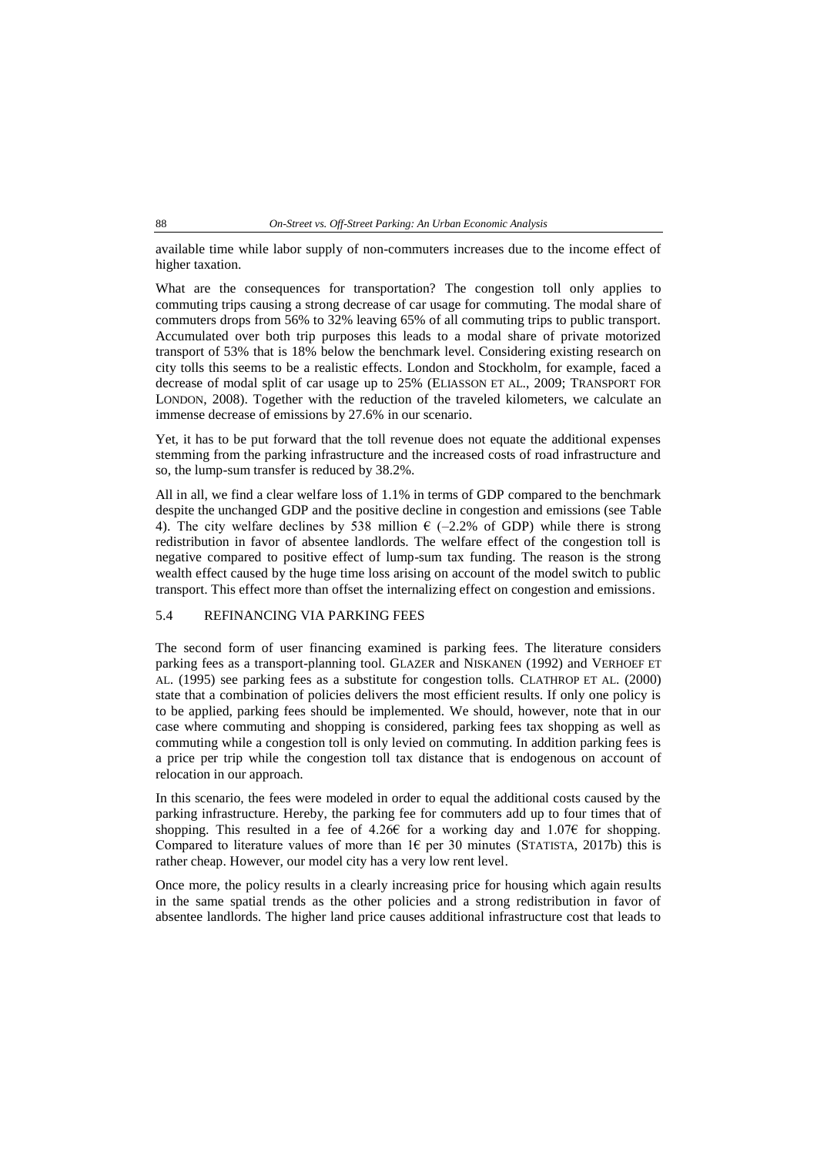available time while labor supply of non-commuters increases due to the income effect of higher taxation.

What are the consequences for transportation? The congestion toll only applies to commuting trips causing a strong decrease of car usage for commuting. The modal share of commuters drops from 56% to 32% leaving 65% of all commuting trips to public transport. Accumulated over both trip purposes this leads to a modal share of private motorized transport of 53% that is 18% below the benchmark level. Considering existing research on city tolls this seems to be a realistic effects. London and Stockholm, for example, faced a decrease of modal split of car usage up to 25% (ELIASSON ET AL., 2009; TRANSPORT FOR LONDON, 2008). Together with the reduction of the traveled kilometers, we calculate an immense decrease of emissions by 27.6% in our scenario.

Yet, it has to be put forward that the toll revenue does not equate the additional expenses stemming from the parking infrastructure and the increased costs of road infrastructure and so, the lump-sum transfer is reduced by 38.2%.

All in all, we find a clear welfare loss of 1.1% in terms of GDP compared to the benchmark despite the unchanged GDP and the positive decline in congestion and emissions (see [Table](#page-19-0)  [4\)](#page-19-0). The city welfare declines by 538 million  $\epsilon$  (-2.2% of GDP) while there is strong redistribution in favor of absentee landlords. The welfare effect of the congestion toll is negative compared to positive effect of lump-sum tax funding. The reason is the strong wealth effect caused by the huge time loss arising on account of the model switch to public transport. This effect more than offset the internalizing effect on congestion and emissions.

## 5.4 REFINANCING VIA PARKING FEES

The second form of user financing examined is parking fees. The literature considers parking fees as a transport-planning tool. GLAZER and NISKANEN (1992) and VERHOEF ET AL. (1995) see parking fees as a substitute for congestion tolls. CLATHROP ET AL. (2000) state that a combination of policies delivers the most efficient results. If only one policy is to be applied, parking fees should be implemented. We should, however, note that in our case where commuting and shopping is considered, parking fees tax shopping as well as commuting while a congestion toll is only levied on commuting. In addition parking fees is a price per trip while the congestion toll tax distance that is endogenous on account of relocation in our approach.

In this scenario, the fees were modeled in order to equal the additional costs caused by the parking infrastructure. Hereby, the parking fee for commuters add up to four times that of shopping. This resulted in a fee of 4.26€ for a working day and 1.07€ for shopping. Compared to literature values of more than  $1\epsilon$  per 30 minutes (STATISTA, 2017b) this is rather cheap. However, our model city has a very low rent level.

Once more, the policy results in a clearly increasing price for housing which again results in the same spatial trends as the other policies and a strong redistribution in favor of absentee landlords. The higher land price causes additional infrastructure cost that leads to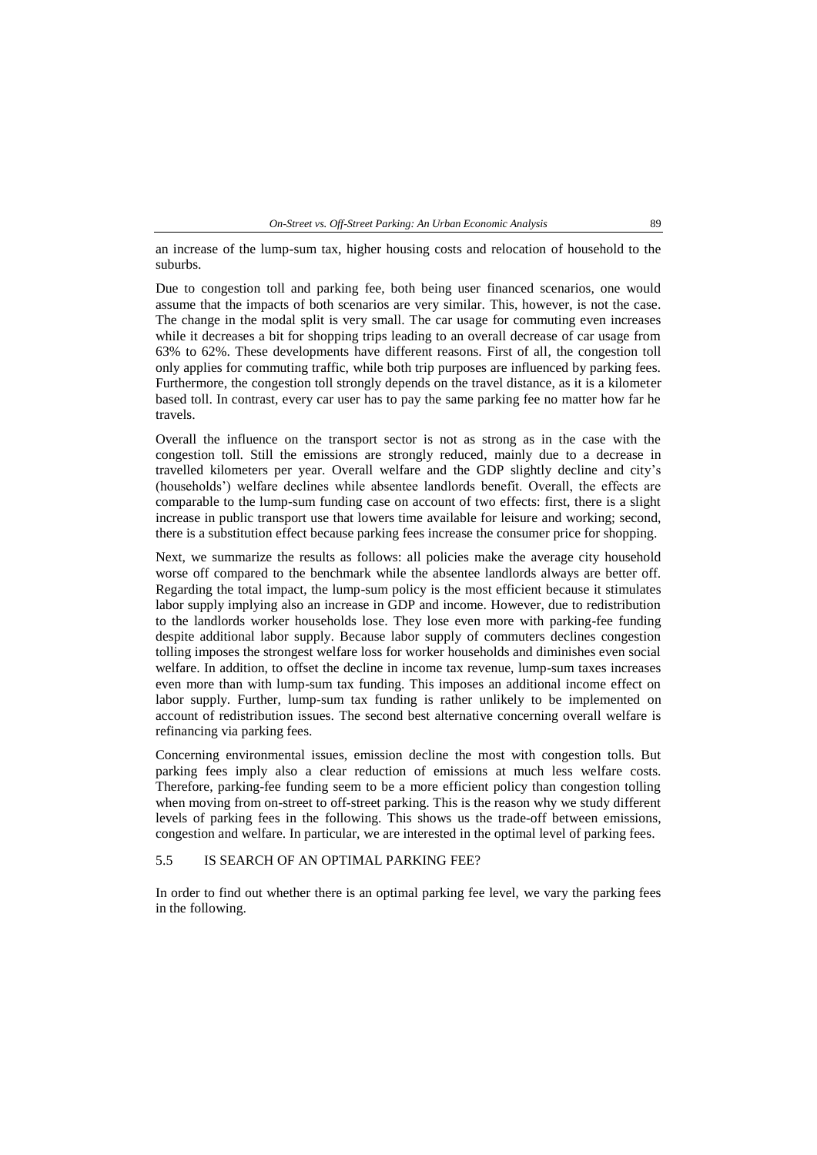an increase of the lump-sum tax, higher housing costs and relocation of household to the suburbs.

Due to congestion toll and parking fee, both being user financed scenarios, one would assume that the impacts of both scenarios are very similar. This, however, is not the case. The change in the modal split is very small. The car usage for commuting even increases while it decreases a bit for shopping trips leading to an overall decrease of car usage from 63% to 62%. These developments have different reasons. First of all, the congestion toll only applies for commuting traffic, while both trip purposes are influenced by parking fees. Furthermore, the congestion toll strongly depends on the travel distance, as it is a kilometer based toll. In contrast, every car user has to pay the same parking fee no matter how far he travels.

Overall the influence on the transport sector is not as strong as in the case with the congestion toll. Still the emissions are strongly reduced, mainly due to a decrease in travelled kilometers per year. Overall welfare and the GDP slightly decline and city's (households') welfare declines while absentee landlords benefit. Overall, the effects are comparable to the lump-sum funding case on account of two effects: first, there is a slight increase in public transport use that lowers time available for leisure and working; second, there is a substitution effect because parking fees increase the consumer price for shopping.

Next, we summarize the results as follows: all policies make the average city household worse off compared to the benchmark while the absentee landlords always are better off. Regarding the total impact, the lump-sum policy is the most efficient because it stimulates labor supply implying also an increase in GDP and income. However, due to redistribution to the landlords worker households lose. They lose even more with parking-fee funding despite additional labor supply. Because labor supply of commuters declines congestion tolling imposes the strongest welfare loss for worker households and diminishes even social welfare. In addition, to offset the decline in income tax revenue, lump-sum taxes increases even more than with lump-sum tax funding. This imposes an additional income effect on labor supply. Further, lump-sum tax funding is rather unlikely to be implemented on account of redistribution issues. The second best alternative concerning overall welfare is refinancing via parking fees.

Concerning environmental issues, emission decline the most with congestion tolls. But parking fees imply also a clear reduction of emissions at much less welfare costs. Therefore, parking-fee funding seem to be a more efficient policy than congestion tolling when moving from on-street to off-street parking. This is the reason why we study different levels of parking fees in the following. This shows us the trade-off between emissions, congestion and welfare. In particular, we are interested in the optimal level of parking fees.

## 5.5 IS SEARCH OF AN OPTIMAL PARKING FEE?

In order to find out whether there is an optimal parking fee level, we vary the parking fees in the following.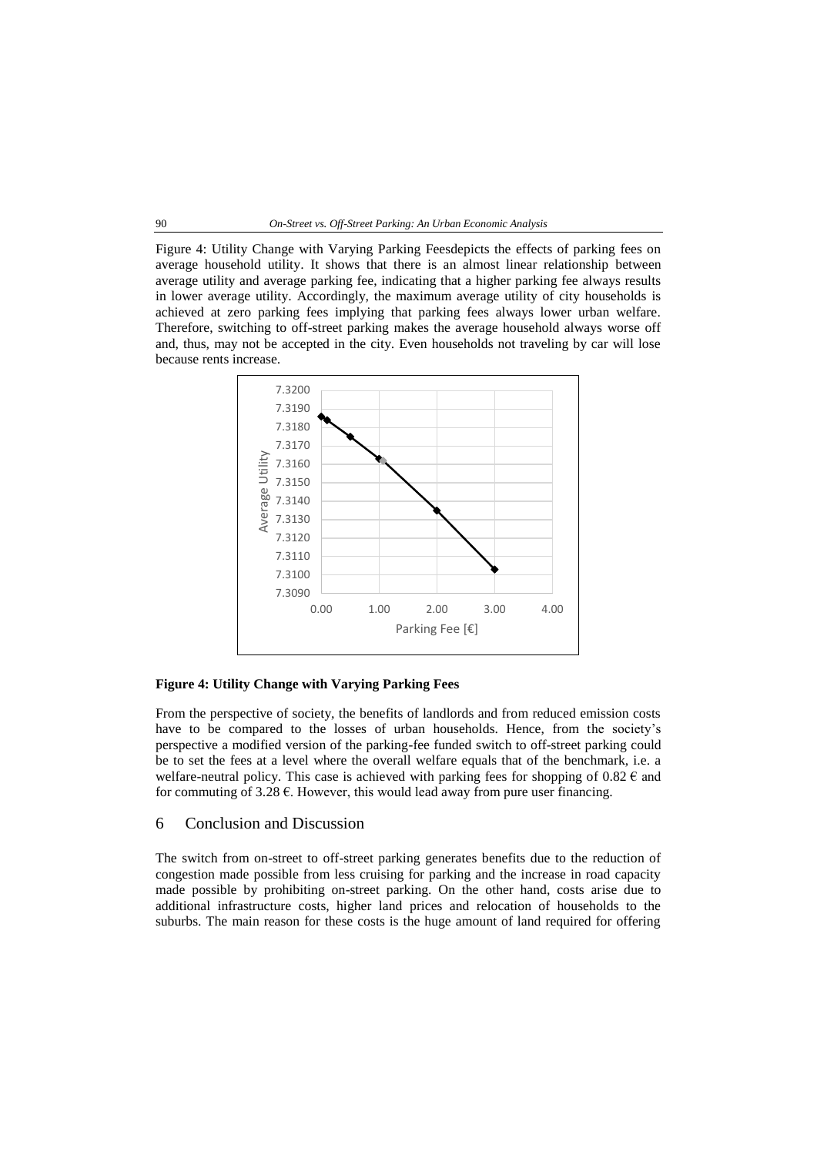#### 90 *On-Street vs. Off-Street Parking: An Urban Economic Analysis*

Figure [4: Utility Change with Varying Parking Feesd](#page-22-0)epicts the effects of parking fees on average household utility. It shows that there is an almost linear relationship between average utility and average parking fee, indicating that a higher parking fee always results in lower average utility. Accordingly, the maximum average utility of city households is achieved at zero parking fees implying that parking fees always lower urban welfare. Therefore, switching to off-street parking makes the average household always worse off and, thus, may not be accepted in the city. Even households not traveling by car will lose because rents increase.

<span id="page-22-0"></span>

## **Figure 4: Utility Change with Varying Parking Fees**

From the perspective of society, the benefits of landlords and from reduced emission costs have to be compared to the losses of urban households. Hence, from the society's perspective a modified version of the parking-fee funded switch to off-street parking could be to set the fees at a level where the overall welfare equals that of the benchmark, i.e. a welfare-neutral policy. This case is achieved with parking fees for shopping of  $0.82 \text{ } \in \text{ }$  and for commuting of 3.28  $\epsilon$ . However, this would lead away from pure user financing.

## 6 Conclusion and Discussion

The switch from on-street to off-street parking generates benefits due to the reduction of congestion made possible from less cruising for parking and the increase in road capacity made possible by prohibiting on-street parking. On the other hand, costs arise due to additional infrastructure costs, higher land prices and relocation of households to the suburbs. The main reason for these costs is the huge amount of land required for offering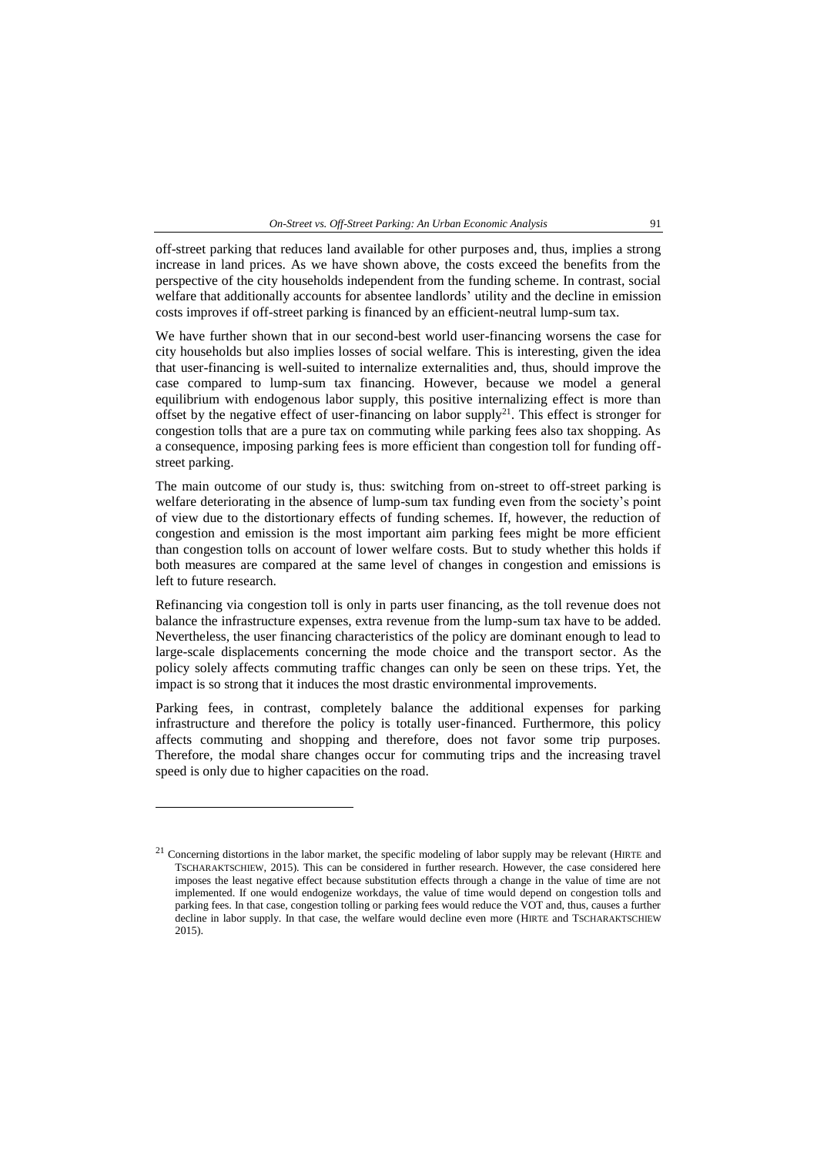*On-Street vs. Off-Street Parking: An Urban Economic Analysis* 91

off-street parking that reduces land available for other purposes and, thus, implies a strong increase in land prices. As we have shown above, the costs exceed the benefits from the perspective of the city households independent from the funding scheme. In contrast, social welfare that additionally accounts for absentee landlords' utility and the decline in emission costs improves if off-street parking is financed by an efficient-neutral lump-sum tax.

We have further shown that in our second-best world user-financing worsens the case for city households but also implies losses of social welfare. This is interesting, given the idea that user-financing is well-suited to internalize externalities and, thus, should improve the case compared to lump-sum tax financing. However, because we model a general equilibrium with endogenous labor supply, this positive internalizing effect is more than offset by the negative effect of user-financing on labor supply<sup>21</sup>. This effect is stronger for congestion tolls that are a pure tax on commuting while parking fees also tax shopping. As a consequence, imposing parking fees is more efficient than congestion toll for funding offstreet parking.

The main outcome of our study is, thus: switching from on-street to off-street parking is welfare deteriorating in the absence of lump-sum tax funding even from the society's point of view due to the distortionary effects of funding schemes. If, however, the reduction of congestion and emission is the most important aim parking fees might be more efficient than congestion tolls on account of lower welfare costs. But to study whether this holds if both measures are compared at the same level of changes in congestion and emissions is left to future research.

Refinancing via congestion toll is only in parts user financing, as the toll revenue does not balance the infrastructure expenses, extra revenue from the lump-sum tax have to be added. Nevertheless, the user financing characteristics of the policy are dominant enough to lead to large-scale displacements concerning the mode choice and the transport sector. As the policy solely affects commuting traffic changes can only be seen on these trips. Yet, the impact is so strong that it induces the most drastic environmental improvements.

Parking fees, in contrast, completely balance the additional expenses for parking infrastructure and therefore the policy is totally user-financed. Furthermore, this policy affects commuting and shopping and therefore, does not favor some trip purposes. Therefore, the modal share changes occur for commuting trips and the increasing travel speed is only due to higher capacities on the road.

 $\overline{a}$ 

 $21$  Concerning distortions in the labor market, the specific modeling of labor supply may be relevant (HIRTE and TSCHARAKTSCHIEW, 2015). This can be considered in further research. However, the case considered here imposes the least negative effect because substitution effects through a change in the value of time are not implemented. If one would endogenize workdays, the value of time would depend on congestion tolls and parking fees. In that case, congestion tolling or parking fees would reduce the VOT and, thus, causes a further decline in labor supply. In that case, the welfare would decline even more (HIRTE and TSCHARAKTSCHIEW 2015).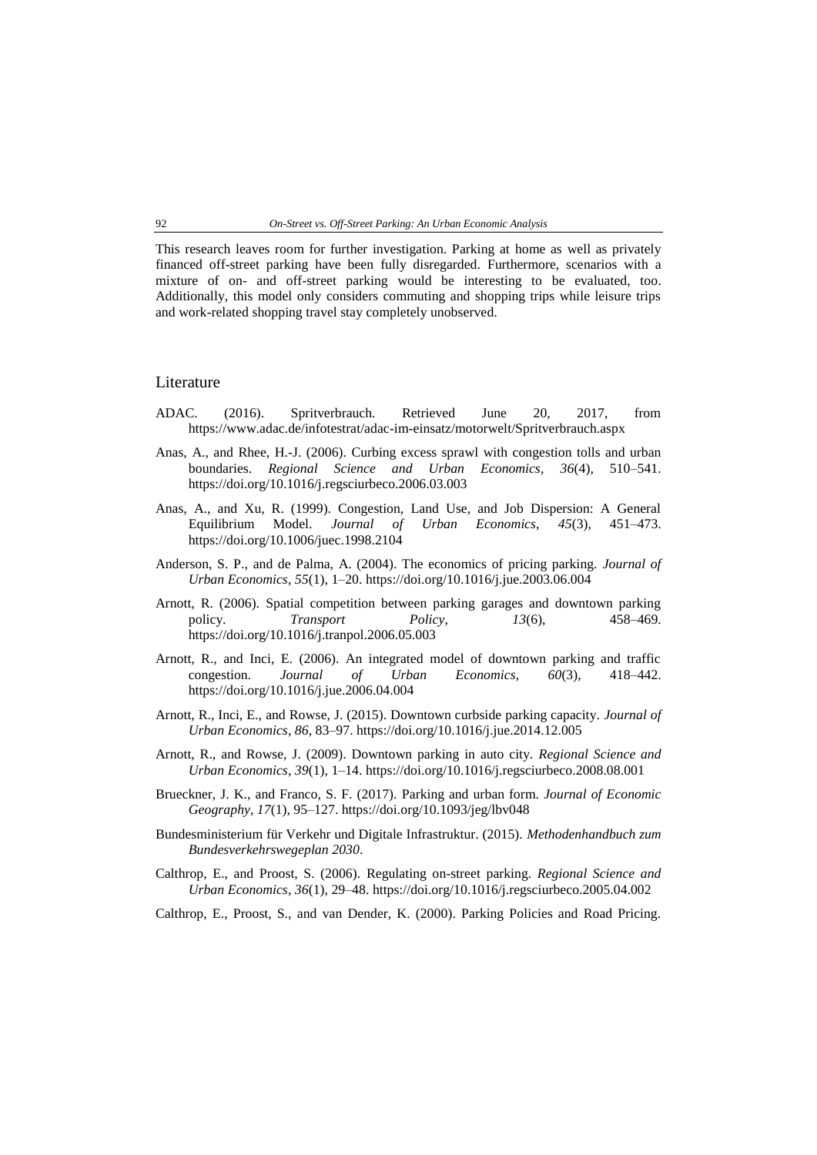This research leaves room for further investigation. Parking at home as well as privately financed off-street parking have been fully disregarded. Furthermore, scenarios with a mixture of on- and off-street parking would be interesting to be evaluated, too. Additionally, this model only considers commuting and shopping trips while leisure trips and work-related shopping travel stay completely unobserved.

## Literature

- ADAC. (2016). Spritverbrauch. Retrieved June 20, 2017, from https://www.adac.de/infotestrat/adac-im-einsatz/motorwelt/Spritverbrauch.aspx
- Anas, A., and Rhee, H.-J. (2006). Curbing excess sprawl with congestion tolls and urban boundaries. *Regional Science and Urban Economics*, *36*(4), 510–541. https://doi.org/10.1016/j.regsciurbeco.2006.03.003
- Anas, A., and Xu, R. (1999). Congestion, Land Use, and Job Dispersion: A General Equilibrium Model. *Journal of Urban Economics*, *45*(3), 451–473. https://doi.org/10.1006/juec.1998.2104
- Anderson, S. P., and de Palma, A. (2004). The economics of pricing parking. *Journal of Urban Economics*, *55*(1), 1–20. https://doi.org/10.1016/j.jue.2003.06.004
- Arnott, R. (2006). Spatial competition between parking garages and downtown parking policy. *Transport Policy*, *13*(6), 458–469. https://doi.org/10.1016/j.tranpol.2006.05.003
- Arnott, R., and Inci, E. (2006). An integrated model of downtown parking and traffic congestion. *Journal of Urban Economics*, *60*(3), 418–442. https://doi.org/10.1016/j.jue.2006.04.004
- Arnott, R., Inci, E., and Rowse, J. (2015). Downtown curbside parking capacity. *Journal of Urban Economics*, *86*, 83–97. https://doi.org/10.1016/j.jue.2014.12.005
- Arnott, R., and Rowse, J. (2009). Downtown parking in auto city. *Regional Science and Urban Economics*, *39*(1), 1–14. https://doi.org/10.1016/j.regsciurbeco.2008.08.001
- Brueckner, J. K., and Franco, S. F. (2017). Parking and urban form. *Journal of Economic Geography*, *17*(1), 95–127. https://doi.org/10.1093/jeg/lbv048
- Bundesministerium für Verkehr und Digitale Infrastruktur. (2015). *Methodenhandbuch zum Bundesverkehrswegeplan 2030*.
- Calthrop, E., and Proost, S. (2006). Regulating on-street parking. *Regional Science and Urban Economics*, *36*(1), 29–48. https://doi.org/10.1016/j.regsciurbeco.2005.04.002
- Calthrop, E., Proost, S., and van Dender, K. (2000). Parking Policies and Road Pricing.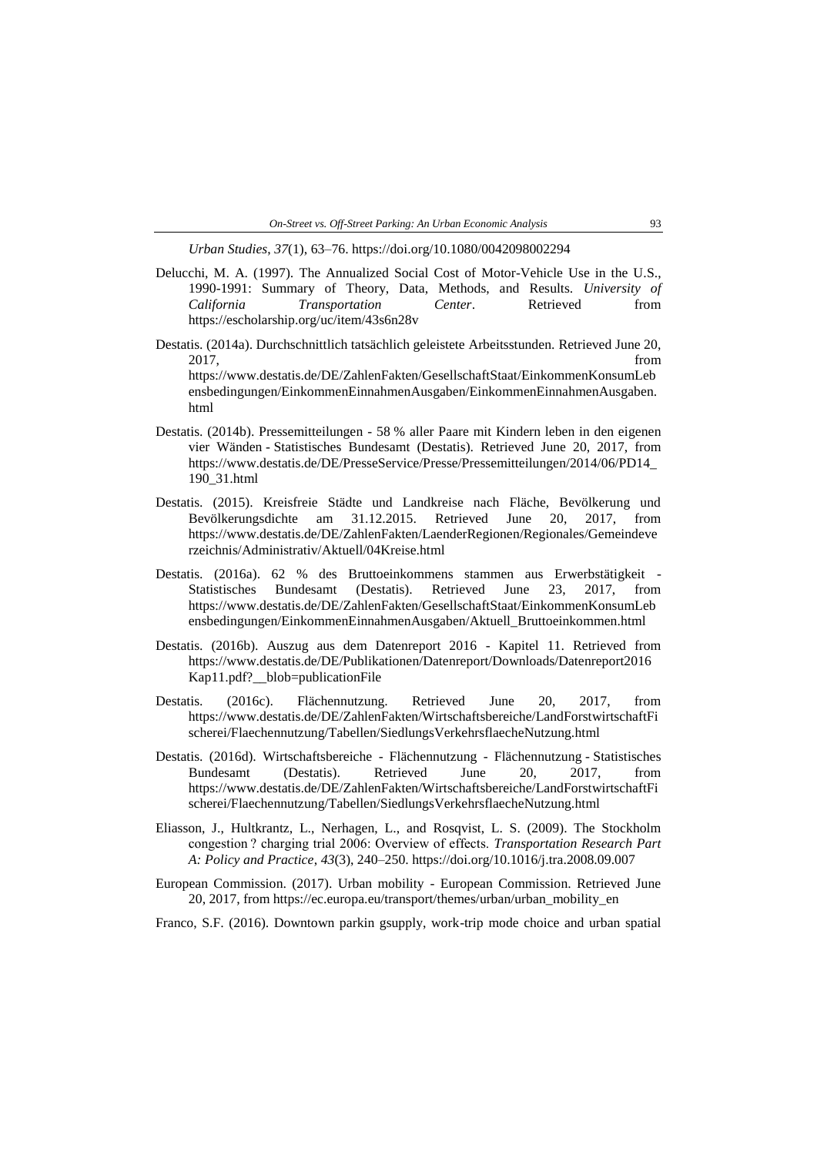*Urban Studies*, *37*(1), 63–76. https://doi.org/10.1080/0042098002294

- Delucchi, M. A. (1997). The Annualized Social Cost of Motor-Vehicle Use in the U.S., 1990-1991: Summary of Theory, Data, Methods, and Results. *University of California Transportation Center*. Retrieved from https://escholarship.org/uc/item/43s6n28v
- Destatis. (2014a). Durchschnittlich tatsächlich geleistete Arbeitsstunden. Retrieved June 20, 2017, from https://www.destatis.de/DE/ZahlenFakten/GesellschaftStaat/EinkommenKonsumLeb ensbedingungen/EinkommenEinnahmenAusgaben/EinkommenEinnahmenAusgaben. html
- Destatis. (2014b). Pressemitteilungen 58 % aller Paare mit Kindern leben in den eigenen vier Wänden - Statistisches Bundesamt (Destatis). Retrieved June 20, 2017, from https://www.destatis.de/DE/PresseService/Presse/Pressemitteilungen/2014/06/PD14\_ 190\_31.html
- Destatis. (2015). Kreisfreie Städte und Landkreise nach Fläche, Bevölkerung und Bevölkerungsdichte am 31.12.2015. Retrieved June 20, 2017, from https://www.destatis.de/DE/ZahlenFakten/LaenderRegionen/Regionales/Gemeindeve rzeichnis/Administrativ/Aktuell/04Kreise.html
- Destatis. (2016a). 62 % des Bruttoeinkommens stammen aus Erwerbstätigkeit Statistisches Bundesamt (Destatis). Retrieved June 23, 2017, from https://www.destatis.de/DE/ZahlenFakten/GesellschaftStaat/EinkommenKonsumLeb ensbedingungen/EinkommenEinnahmenAusgaben/Aktuell\_Bruttoeinkommen.html
- Destatis. (2016b). Auszug aus dem Datenreport 2016 Kapitel 11. Retrieved from https://www.destatis.de/DE/Publikationen/Datenreport/Downloads/Datenreport2016 Kap11.pdf?\_\_blob=publicationFile
- Destatis. (2016c). Flächennutzung. Retrieved June 20, 2017, from https://www.destatis.de/DE/ZahlenFakten/Wirtschaftsbereiche/LandForstwirtschaftFi scherei/Flaechennutzung/Tabellen/SiedlungsVerkehrsflaecheNutzung.html
- Destatis. (2016d). Wirtschaftsbereiche Flächennutzung Flächennutzung Statistisches Bundesamt (Destatis). Retrieved June 20, 2017, from https://www.destatis.de/DE/ZahlenFakten/Wirtschaftsbereiche/LandForstwirtschaftFi scherei/Flaechennutzung/Tabellen/SiedlungsVerkehrsflaecheNutzung.html
- Eliasson, J., Hultkrantz, L., Nerhagen, L., and Rosqvist, L. S. (2009). The Stockholm congestion ? charging trial 2006: Overview of effects. *Transportation Research Part A: Policy and Practice*, *43*(3), 240–250. https://doi.org/10.1016/j.tra.2008.09.007
- European Commission. (2017). Urban mobility European Commission. Retrieved June 20, 2017, from https://ec.europa.eu/transport/themes/urban/urban\_mobility\_en
- Franco, S.F. (2016). Downtown parkin gsupply, work-trip mode choice and urban spatial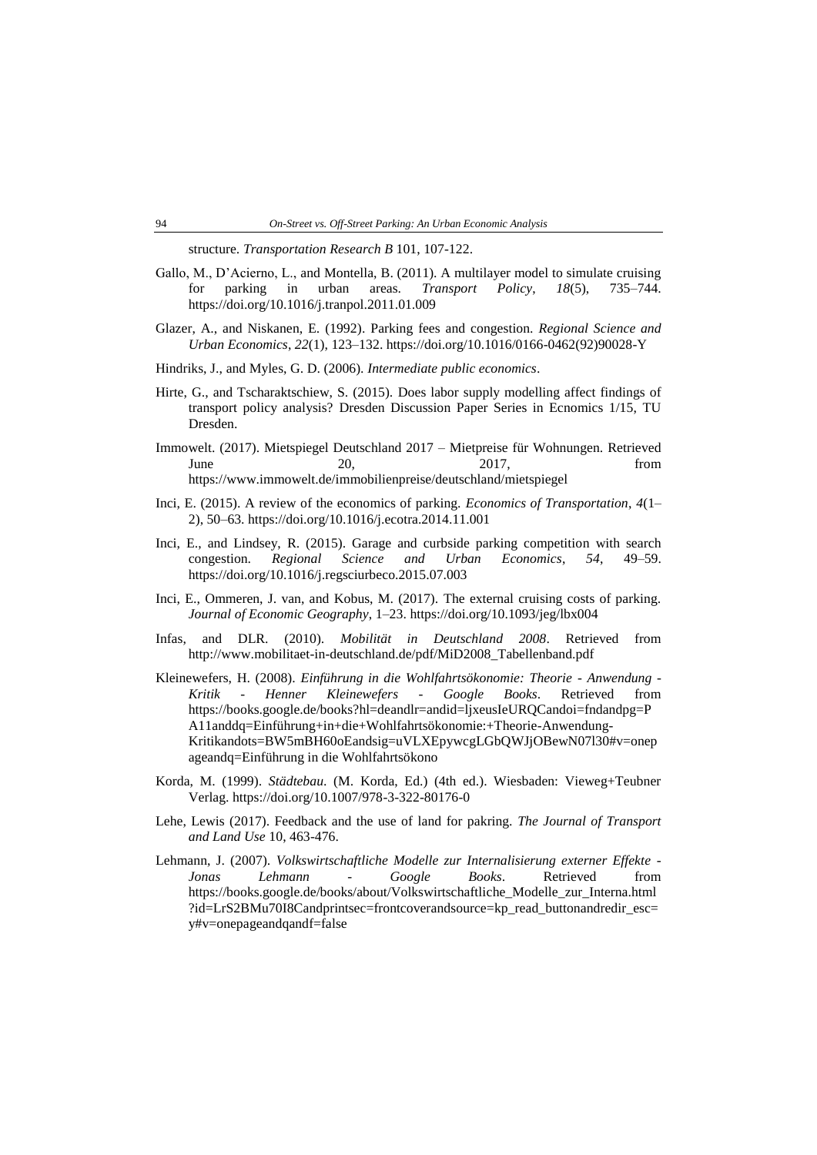structure. *Transportation Research B* 101, 107-122.

- Gallo, M., D'Acierno, L., and Montella, B. (2011). A multilayer model to simulate cruising for parking in urban areas. *Transport Policy*, *18*(5), 735–744. https://doi.org/10.1016/j.tranpol.2011.01.009
- Glazer, A., and Niskanen, E. (1992). Parking fees and congestion. *Regional Science and Urban Economics*, *22*(1), 123–132. https://doi.org/10.1016/0166-0462(92)90028-Y
- Hindriks, J., and Myles, G. D. (2006). *Intermediate public economics*.
- Hirte, G., and Tscharaktschiew, S. (2015). Does labor supply modelling affect findings of transport policy analysis? Dresden Discussion Paper Series in Ecnomics 1/15, TU Dresden.
- Immowelt. (2017). Mietspiegel Deutschland 2017 Mietpreise für Wohnungen. Retrieved June 20, 2017, from https://www.immowelt.de/immobilienpreise/deutschland/mietspiegel
- Inci, E. (2015). A review of the economics of parking. *Economics of Transportation*, *4*(1– 2), 50–63. https://doi.org/10.1016/j.ecotra.2014.11.001
- Inci, E., and Lindsey, R. (2015). Garage and curbside parking competition with search congestion. *Regional Science and Urban Economics*, *54*, 49–59. https://doi.org/10.1016/j.regsciurbeco.2015.07.003
- Inci, E., Ommeren, J. van, and Kobus, M. (2017). The external cruising costs of parking. *Journal of Economic Geography*, 1–23. https://doi.org/10.1093/jeg/lbx004
- Infas, and DLR. (2010). *Mobilität in Deutschland 2008*. Retrieved from http://www.mobilitaet-in-deutschland.de/pdf/MiD2008\_Tabellenband.pdf
- Kleinewefers, H. (2008). *Einführung in die Wohlfahrtsökonomie: Theorie - Anwendung - Kritik - Henner Kleinewefers - Google Books*. Retrieved from https://books.google.de/books?hl=deandlr=andid=ljxeusIeURQCandoi=fndandpg=P A11anddq=Einführung+in+die+Wohlfahrtsökonomie:+Theorie-Anwendung-Kritikandots=BW5mBH60oEandsig=uVLXEpywcgLGbQWJjOBewN07l30#v=onep ageandq=Einführung in die Wohlfahrtsökono
- Korda, M. (1999). *Städtebau*. (M. Korda, Ed.) (4th ed.). Wiesbaden: Vieweg+Teubner Verlag. https://doi.org/10.1007/978-3-322-80176-0
- Lehe, Lewis (2017). Feedback and the use of land for pakring. *The Journal of Transport and Land Use* 10, 463-476.
- Lehmann, J. (2007). *Volkswirtschaftliche Modelle zur Internalisierung externer Effekte - Jonas Lehmann - Google Books*. Retrieved from https://books.google.de/books/about/Volkswirtschaftliche\_Modelle\_zur\_Interna.html ?id=LrS2BMu70I8Candprintsec=frontcoverandsource=kp\_read\_buttonandredir\_esc= y#v=onepageandqandf=false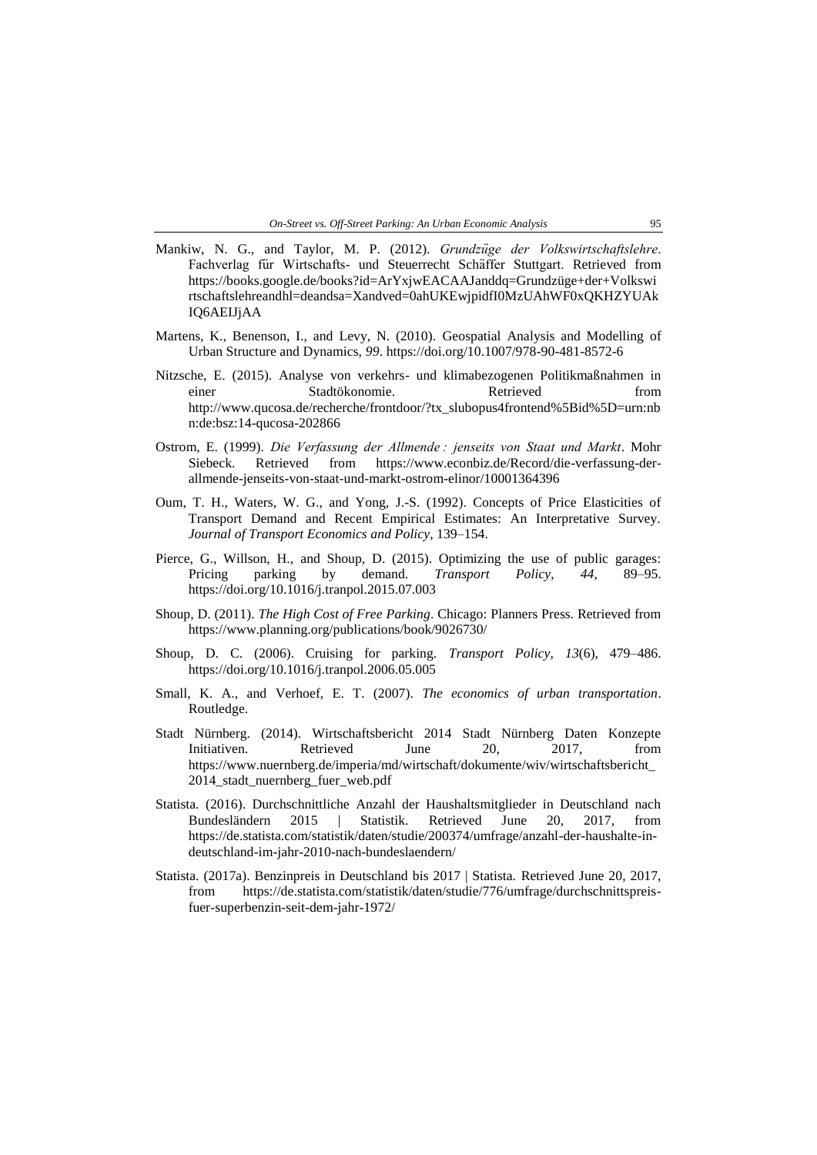- Mankiw, N. G., and Taylor, M. P. (2012). *Grundzüge der Volkswirtschaftslehre*. Fachverlag für Wirtschafts- und Steuerrecht Schäffer Stuttgart. Retrieved from https://books.google.de/books?id=ArYxjwEACAAJanddq=Grundzüge+der+Volkswi rtschaftslehreandhl=deandsa=Xandved=0ahUKEwjpidfI0MzUAhWF0xQKHZYUAk IQ6AEIJjAA
- Martens, K., Benenson, I., and Levy, N. (2010). Geospatial Analysis and Modelling of Urban Structure and Dynamics, *99*. https://doi.org/10.1007/978-90-481-8572-6
- Nitzsche, E. (2015). Analyse von verkehrs- und klimabezogenen Politikmaßnahmen in einer Stadtökonomie. Retrieved from http://www.qucosa.de/recherche/frontdoor/?tx\_slubopus4frontend%5Bid%5D=urn:nb n:de:bsz:14-qucosa-202866
- Ostrom, E. (1999). *Die Verfassung der Allmende : jenseits von Staat und Markt*. Mohr Siebeck. Retrieved from https://www.econbiz.de/Record/die-verfassung-derallmende-jenseits-von-staat-und-markt-ostrom-elinor/10001364396
- Oum, T. H., Waters, W. G., and Yong, J.-S. (1992). Concepts of Price Elasticities of Transport Demand and Recent Empirical Estimates: An Interpretative Survey. *Journal of Transport Economics and Policy*, 139–154.
- Pierce, G., Willson, H., and Shoup, D. (2015). Optimizing the use of public garages: Pricing parking by demand. *Transport Policy*, *44*, 89–95. https://doi.org/10.1016/j.tranpol.2015.07.003
- Shoup, D. (2011). *The High Cost of Free Parking*. Chicago: Planners Press. Retrieved from https://www.planning.org/publications/book/9026730/
- Shoup, D. C. (2006). Cruising for parking. *Transport Policy*, *13*(6), 479–486. https://doi.org/10.1016/j.tranpol.2006.05.005
- Small, K. A., and Verhoef, E. T. (2007). *The economics of urban transportation*. Routledge.
- Stadt Nürnberg. (2014). Wirtschaftsbericht 2014 Stadt Nürnberg Daten Konzepte Initiativen. Retrieved June 20, 2017, from https://www.nuernberg.de/imperia/md/wirtschaft/dokumente/wiv/wirtschaftsbericht\_ 2014 stadt nuernberg fuer web.pdf
- Statista. (2016). Durchschnittliche Anzahl der Haushaltsmitglieder in Deutschland nach Bundesländern 2015 | Statistik. Retrieved June 20, 2017, from https://de.statista.com/statistik/daten/studie/200374/umfrage/anzahl-der-haushalte-indeutschland-im-jahr-2010-nach-bundeslaendern/
- Statista. (2017a). Benzinpreis in Deutschland bis 2017 | Statista. Retrieved June 20, 2017, from https://de.statista.com/statistik/daten/studie/776/umfrage/durchschnittspreisfuer-superbenzin-seit-dem-jahr-1972/